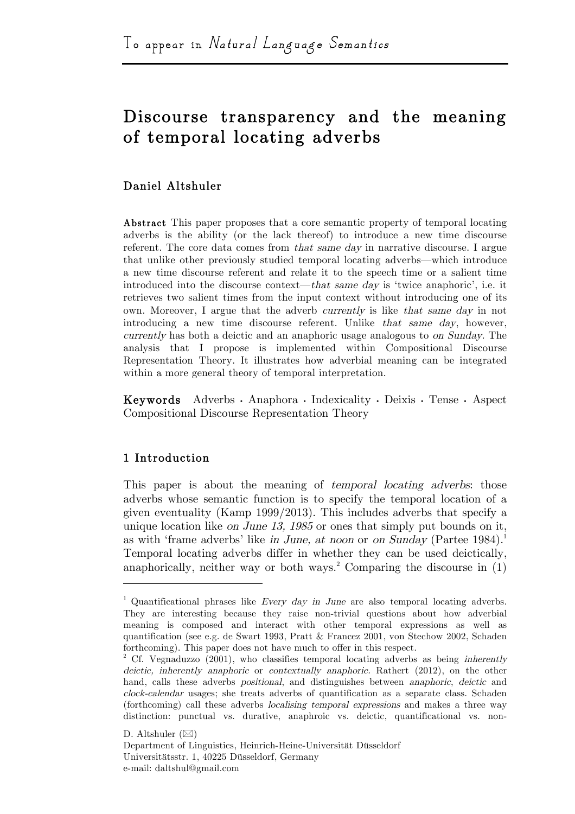# Discourse transparency and the meaning of temporal locating adverbs

# Daniel Altshuler

Abstract This paper proposes that a core semantic property of temporal locating adverbs is the ability (or the lack thereof) to introduce a new time discourse referent. The core data comes from that same day in narrative discourse. I argue that unlike other previously studied temporal locating adverbs—which introduce a new time discourse referent and relate it to the speech time or a salient time introduced into the discourse context—that same day is 'twice anaphoric', i.e. it retrieves two salient times from the input context without introducing one of its own. Moreover, I argue that the adverb currently is like that same day in not introducing a new time discourse referent. Unlike that same day, however, currently has both a deictic and an anaphoric usage analogous to on Sunday. The analysis that I propose is implemented within Compositional Discourse Representation Theory. It illustrates how adverbial meaning can be integrated within a more general theory of temporal interpretation.

Keywords Adverbs · Anaphora · Indexicality · Deixis · Tense · Aspect Compositional Discourse Representation Theory

# 1 Introduction

This paper is about the meaning of *temporal locating adverbs*; those adverbs whose semantic function is to specify the temporal location of a given eventuality (Kamp 1999/2013). This includes adverbs that specify a unique location like on June 13, 1985 or ones that simply put bounds on it, as with 'frame adverbs' like in June, at noon or on Sunday (Partee 1984).<sup>1</sup> Temporal locating adverbs differ in whether they can be used deictically, anaphorically, neither way or both ways.<sup>2</sup> Comparing the discourse in  $(1)$ 

D. Altshuler  $(\boxtimes)$ 

<sup>&</sup>lt;sup>1</sup> Quantificational phrases like Every day in June are also temporal locating adverbs. They are interesting because they raise non-trivial questions about how adverbial meaning is composed and interact with other temporal expressions as well as quantification (see e.g. de Swart 1993, Pratt & Francez 2001, von Stechow 2002, Schaden forthcoming). This paper does not have much to offer in this respect.

<sup>&</sup>lt;sup>2</sup> Cf. Vegnaduzzo (2001), who classifies temporal locating adverbs as being inherently deictic, inherently anaphoric or contextually anaphoric. Rathert (2012), on the other hand, calls these adverbs positional, and distinguishes between anaphoric, deictic and clock-calendar usages; she treats adverbs of quantification as a separate class. Schaden (forthcoming) call these adverbs localising temporal expressions and makes a three way distinction: punctual vs. durative, anaphroic vs. deictic, quantificational vs. non-

Department of Linguistics, Heinrich-Heine-Universität Düsseldorf Universitätsstr. 1, 40225 Düsseldorf, Germany e-mail: daltshul@gmail.com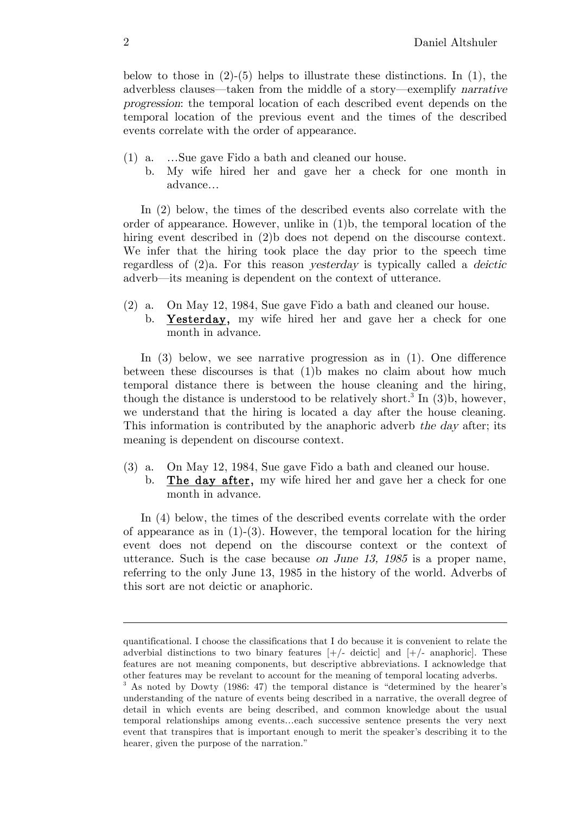below to those in  $(2)-(5)$  helps to illustrate these distinctions. In  $(1)$ , the adverbless clauses—taken from the middle of a story—exemplify narrative progression: the temporal location of each described event depends on the temporal location of the previous event and the times of the described events correlate with the order of appearance.

- (1) a. …Sue gave Fido a bath and cleaned our house.
	- b. My wife hired her and gave her a check for one month in advance…

In (2) below, the times of the described events also correlate with the order of appearance. However, unlike in (1)b, the temporal location of the hiring event described in (2)b does not depend on the discourse context. We infer that the hiring took place the day prior to the speech time regardless of  $(2)a$ . For this reason *yesterday* is typically called a *deictic* adverb—its meaning is dependent on the context of utterance.

(2) a. On May 12, 1984, Sue gave Fido a bath and cleaned our house. b. Yesterday, my wife hired her and gave her a check for one month in advance.

In (3) below, we see narrative progression as in (1). One difference between these discourses is that (1)b makes no claim about how much temporal distance there is between the house cleaning and the hiring, though the distance is understood to be relatively short.<sup>3</sup> In  $(3)$ b, however, we understand that the hiring is located a day after the house cleaning. This information is contributed by the anaphoric adverb the day after; its meaning is dependent on discourse context.

- (3) a. On May 12, 1984, Sue gave Fido a bath and cleaned our house.
	- b. The day after, my wife hired her and gave her a check for one month in advance.

In (4) below, the times of the described events correlate with the order of appearance as in  $(1)-(3)$ . However, the temporal location for the hiring event does not depend on the discourse context or the context of utterance. Such is the case because on June 13, 1985 is a proper name, referring to the only June 13, 1985 in the history of the world. Adverbs of this sort are not deictic or anaphoric.

quantificational. I choose the classifications that I do because it is convenient to relate the adverbial distinctions to two binary features  $[+/$ - deictic and  $[+/$ - anaphoric. These features are not meaning components, but descriptive abbreviations. I acknowledge that other features may be revelant to account for the meaning of temporal locating adverbs.

<sup>3</sup> As noted by Dowty (1986: 47) the temporal distance is "determined by the hearer's understanding of the nature of events being described in a narrative, the overall degree of detail in which events are being described, and common knowledge about the usual temporal relationships among events…each successive sentence presents the very next event that transpires that is important enough to merit the speaker's describing it to the hearer, given the purpose of the narration."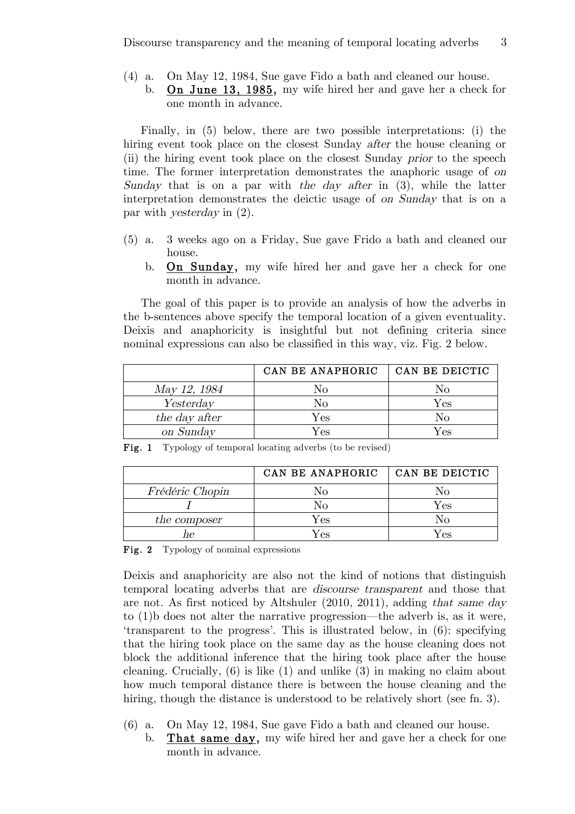- (4) a. On May 12, 1984, Sue gave Fido a bath and cleaned our house.
	- b. On June 13, 1985, my wife hired her and gave her a check for one month in advance.

Finally, in (5) below, there are two possible interpretations: (i) the hiring event took place on the closest Sunday *after* the house cleaning or (ii) the hiring event took place on the closest Sunday prior to the speech time. The former interpretation demonstrates the anaphoric usage of on Sunday that is on a par with the day after in (3), while the latter interpretation demonstrates the deictic usage of on Sunday that is on a par with yesterday in (2).

- (5) a. 3 weeks ago on a Friday, Sue gave Frido a bath and cleaned our house.
	- b. On Sunday, my wife hired her and gave her a check for one month in advance.

The goal of this paper is to provide an analysis of how the adverbs in the b-sentences above specify the temporal location of a given eventuality. Deixis and anaphoricity is insightful but not defining criteria since nominal expressions can also be classified in this way, viz. Fig. 2 below.

|               | CAN BE ANAPHORIC | CAN BE DEICTIC |
|---------------|------------------|----------------|
| May 12, 1984  | Nο               | Nο             |
| Yesterday     | No               | ${\rm Yes}$    |
| the day after | $\rm Yes$        | Nо             |
| on Sunday     | Yes              | Yes            |

|                 | CAN BE ANAPHORIC | CAN BE DEICTIC |
|-----------------|------------------|----------------|
| Frédéric Chopin | Nο               | No             |
|                 | No               | Yes            |
| the composer    | $\rm Yes$        | NΟ             |
|                 | $\rm Yes$        | Yes            |

Fig. 1 Typology of temporal locating adverbs (to be revised)

Fig. 2 Typology of nominal expressions

Deixis and anaphoricity are also not the kind of notions that distinguish temporal locating adverbs that are discourse transparent and those that are not. As first noticed by Altshuler (2010, 2011), adding that same day to (1)b does not alter the narrative progression—the adverb is, as it were, 'transparent to the progress'. This is illustrated below, in (6): specifying that the hiring took place on the same day as the house cleaning does not block the additional inference that the hiring took place after the house cleaning. Crucially, (6) is like (1) and unlike (3) in making no claim about how much temporal distance there is between the house cleaning and the hiring, though the distance is understood to be relatively short (see fn. 3).

- (6) a. On May 12, 1984, Sue gave Fido a bath and cleaned our house.
	- b. That same day, my wife hired her and gave her a check for one month in advance.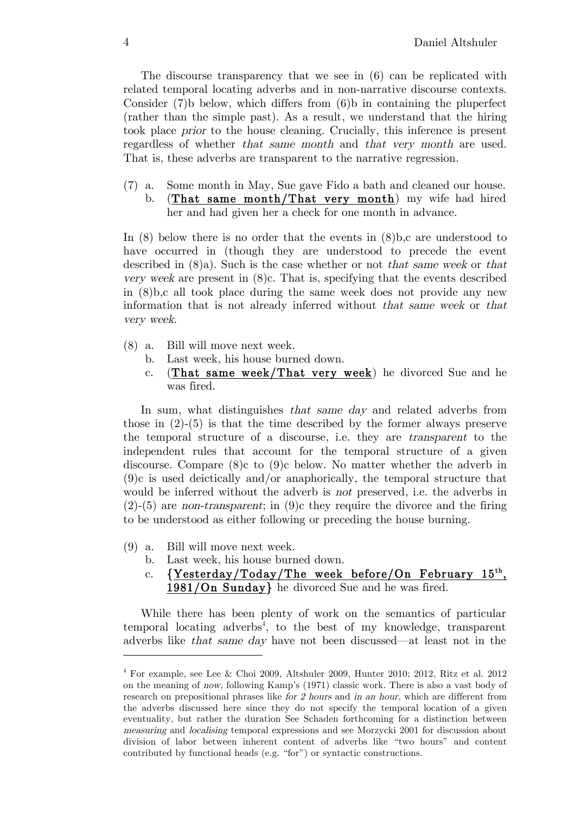The discourse transparency that we see in (6) can be replicated with related temporal locating adverbs and in non-narrative discourse contexts. Consider (7)b below, which differs from (6)b in containing the pluperfect (rather than the simple past). As a result, we understand that the hiring took place prior to the house cleaning. Crucially, this inference is present regardless of whether that same month and that very month are used. That is, these adverbs are transparent to the narrative regression.

(7) a. Some month in May, Sue gave Fido a bath and cleaned our house. b. (That same month/That very month) my wife had hired her and had given her a check for one month in advance.

In  $(8)$  below there is no order that the events in  $(8)$ b,c are understood to have occurred in (though they are understood to precede the event described in (8)a). Such is the case whether or not that same week or that very week are present in (8)c. That is, specifying that the events described in (8)b,c all took place during the same week does not provide any new information that is not already inferred without that same week or that very week.

- (8) a. Bill will move next week.
	- b. Last week, his house burned down.
	- c.  $(That same week/That very week)$  he divorced Sue and he was fired.

In sum, what distinguishes that same day and related adverbs from those in (2)-(5) is that the time described by the former always preserve the temporal structure of a discourse, i.e. they are transparent to the independent rules that account for the temporal structure of a given discourse. Compare (8)c to (9)c below. No matter whether the adverb in (9)c is used deictically and/or anaphorically, the temporal structure that would be inferred without the adverb is *not* preserved, i.e. the adverbs in  $(2)-(5)$  are non-transparent; in  $(9)c$  they require the divorce and the firing to be understood as either following or preceding the house burning.

(9) a. Bill will move next week.

 $\overline{a}$ 

- b. Last week, his house burned down.
- c. {Yesterday/Today/The week before/On February 15<sup>th</sup>, 1981/On Sunday} he divorced Sue and he was fired.

While there has been plenty of work on the semantics of particular temporal locating adverbs<sup>4</sup>, to the best of my knowledge, transparent adverbs like that same day have not been discussed—at least not in the

<sup>4</sup> For example, see Lee & Choi 2009, Altshuler 2009, Hunter 2010; 2012, Ritz et al. 2012 on the meaning of now, following Kamp's (1971) classic work. There is also a vast body of research on prepositional phrases like for 2 hours and in an hour, which are different from the adverbs discussed here since they do not specify the temporal location of a given eventuality, but rather the duration See Schaden forthcoming for a distinction between measuring and localising temporal expressions and see Morzycki 2001 for discussion about division of labor between inherent content of adverbs like "two hours" and content contributed by functional heads (e.g. "for") or syntactic constructions.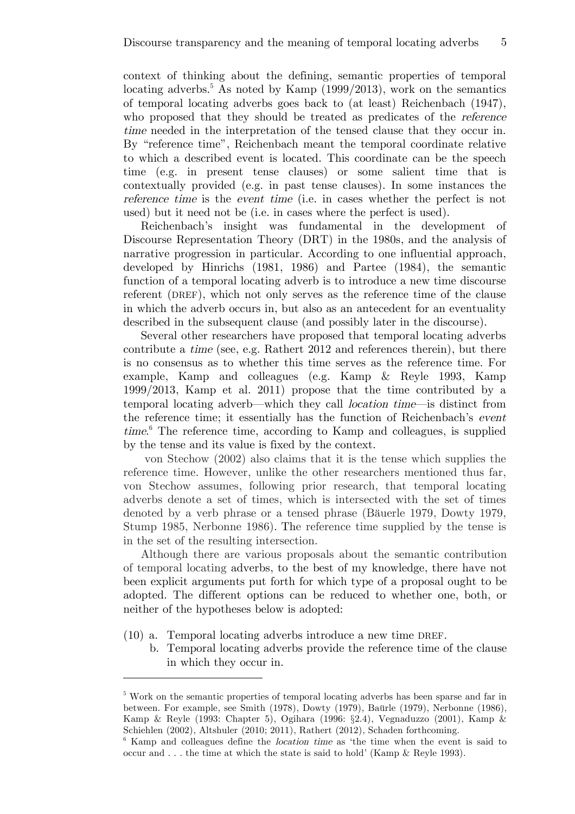context of thinking about the defining, semantic properties of temporal locating adverbs.<sup>5</sup> As noted by Kamp (1999/2013), work on the semantics of temporal locating adverbs goes back to (at least) Reichenbach (1947), who proposed that they should be treated as predicates of the reference time needed in the interpretation of the tensed clause that they occur in. By "reference time", Reichenbach meant the temporal coordinate relative to which a described event is located. This coordinate can be the speech time (e.g. in present tense clauses) or some salient time that is contextually provided (e.g. in past tense clauses). In some instances the reference time is the event time (i.e. in cases whether the perfect is not used) but it need not be (i.e. in cases where the perfect is used).

Reichenbach's insight was fundamental in the development of Discourse Representation Theory (DRT) in the 1980s, and the analysis of narrative progression in particular. According to one influential approach, developed by Hinrichs (1981, 1986) and Partee (1984), the semantic function of a temporal locating adverb is to introduce a new time discourse referent (DREF), which not only serves as the reference time of the clause in which the adverb occurs in, but also as an antecedent for an eventuality described in the subsequent clause (and possibly later in the discourse).

Several other researchers have proposed that temporal locating adverbs contribute a time (see, e.g. Rathert 2012 and references therein), but there is no consensus as to whether this time serves as the reference time. For example, Kamp and colleagues (e.g. Kamp & Reyle 1993, Kamp 1999/2013, Kamp et al. 2011) propose that the time contributed by a temporal locating adverb—which they call location time—is distinct from the reference time; it essentially has the function of Reichenbach's event time. <sup>6</sup> The reference time, according to Kamp and colleagues, is supplied by the tense and its value is fixed by the context.

von Stechow (2002) also claims that it is the tense which supplies the reference time. However, unlike the other researchers mentioned thus far, von Stechow assumes, following prior research, that temporal locating adverbs denote a set of times, which is intersected with the set of times denoted by a verb phrase or a tensed phrase (Bäuerle 1979, Dowty 1979, Stump 1985, Nerbonne 1986). The reference time supplied by the tense is in the set of the resulting intersection.

Although there are various proposals about the semantic contribution of temporal locating adverbs, to the best of my knowledge, there have not been explicit arguments put forth for which type of a proposal ought to be adopted. The different options can be reduced to whether one, both, or neither of the hypotheses below is adopted:

(10) a. Temporal locating adverbs introduce a new time DREF.

 $\overline{a}$ 

b. Temporal locating adverbs provide the reference time of the clause in which they occur in.

<sup>&</sup>lt;sup>5</sup> Work on the semantic properties of temporal locating adverbs has been sparse and far in between. For example, see Smith (1978), Dowty (1979), Baürle (1979), Nerbonne (1986), Kamp & Reyle (1993: Chapter 5), Ogihara (1996: §2.4), Vegnaduzzo (2001), Kamp &

Schiehlen (2002), Altshuler (2010; 2011), Rathert (2012), Schaden forthcoming.<br><sup>6</sup> Kamp and colleagues define the *location time* as 'the time when the event is said to occur and . . . the time at which the state is said to hold' (Kamp & Reyle 1993).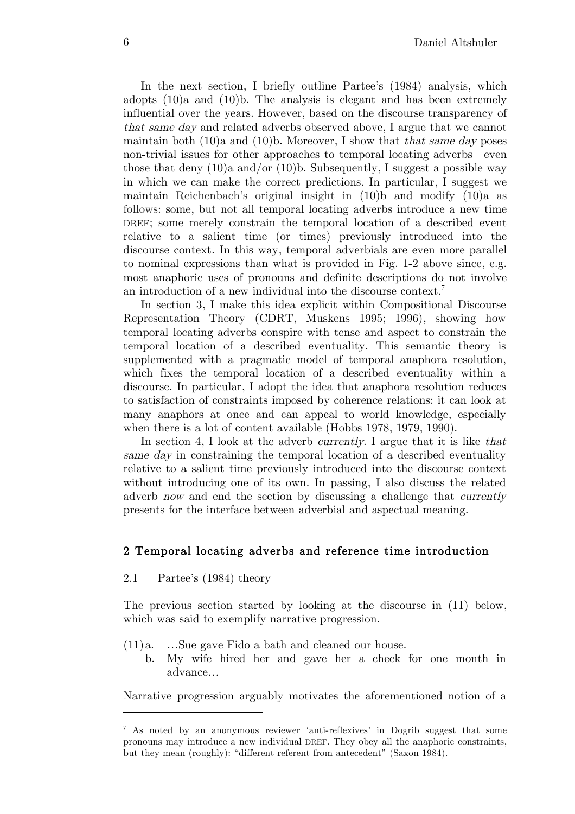In the next section, I briefly outline Partee's (1984) analysis, which adopts (10)a and (10)b. The analysis is elegant and has been extremely influential over the years. However, based on the discourse transparency of that same day and related adverbs observed above, I argue that we cannot maintain both  $(10)$ a and  $(10)$ b. Moreover, I show that that same day poses non-trivial issues for other approaches to temporal locating adverbs—even those that deny  $(10)a$  and/or  $(10)b$ . Subsequently, I suggest a possible way in which we can make the correct predictions. In particular, I suggest we maintain Reichenbach's original insight in (10)b and modify (10)a as follows: some, but not all temporal locating adverbs introduce a new time DREF; some merely constrain the temporal location of a described event relative to a salient time (or times) previously introduced into the discourse context. In this way, temporal adverbials are even more parallel to nominal expressions than what is provided in Fig. 1-2 above since, e.g. most anaphoric uses of pronouns and definite descriptions do not involve an introduction of a new individual into the discourse context.<sup>7</sup>

In section 3, I make this idea explicit within Compositional Discourse Representation Theory (CDRT, Muskens 1995; 1996), showing how temporal locating adverbs conspire with tense and aspect to constrain the temporal location of a described eventuality. This semantic theory is supplemented with a pragmatic model of temporal anaphora resolution, which fixes the temporal location of a described eventuality within a discourse. In particular, I adopt the idea that anaphora resolution reduces to satisfaction of constraints imposed by coherence relations: it can look at many anaphors at once and can appeal to world knowledge, especially when there is a lot of content available (Hobbs 1978, 1979, 1990).

In section 4, I look at the adverb *currently*. I argue that it is like *that* same day in constraining the temporal location of a described eventuality relative to a salient time previously introduced into the discourse context without introducing one of its own. In passing, I also discuss the related adverb now and end the section by discussing a challenge that currently presents for the interface between adverbial and aspectual meaning.

# 2 Temporal locating adverbs and reference time introduction

2.1 Partee's (1984) theory

 $\overline{a}$ 

The previous section started by looking at the discourse in (11) below, which was said to exemplify narrative progression.

- (11)a. …Sue gave Fido a bath and cleaned our house.
	- b. My wife hired her and gave her a check for one month in advance…

Narrative progression arguably motivates the aforementioned notion of a

<sup>7</sup> As noted by an anonymous reviewer 'anti-reflexives' in Dogrib suggest that some pronouns may introduce a new individual DREF. They obey all the anaphoric constraints, but they mean (roughly): "different referent from antecedent" (Saxon 1984).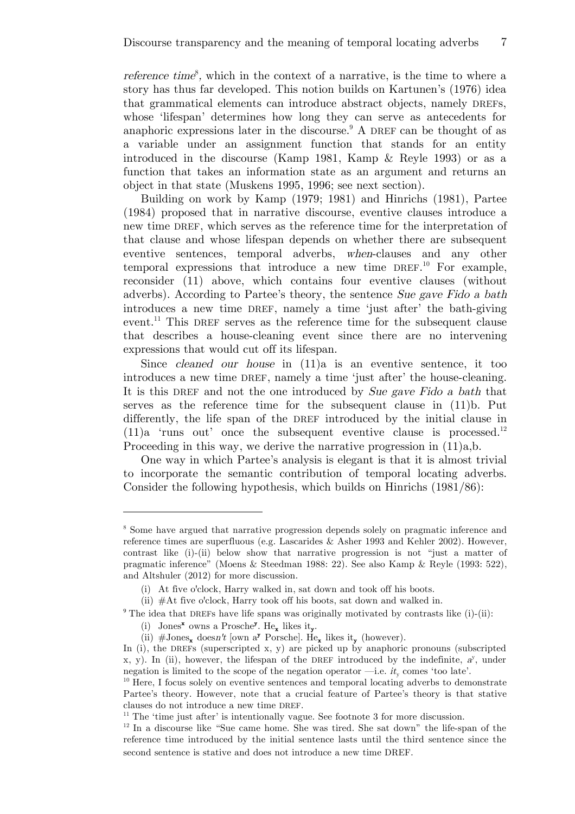*reference time*<sup>8</sup>, which in the context of a narrative, is the time to where a story has thus far developed. This notion builds on Kartunen's (1976) idea that grammatical elements can introduce abstract objects, namely DREFs, whose 'lifespan' determines how long they can serve as antecedents for anaphoric expressions later in the discourse.<sup>9</sup> A DREF can be thought of as a variable under an assignment function that stands for an entity introduced in the discourse (Kamp 1981, Kamp & Reyle 1993) or as a function that takes an information state as an argument and returns an object in that state (Muskens 1995, 1996; see next section).

Building on work by Kamp (1979; 1981) and Hinrichs (1981), Partee (1984) proposed that in narrative discourse, eventive clauses introduce a new time DREF, which serves as the reference time for the interpretation of that clause and whose lifespan depends on whether there are subsequent eventive sentences, temporal adverbs, when-clauses and any other temporal expressions that introduce a new time  $DREF$ <sup>10</sup> For example, reconsider (11) above, which contains four eventive clauses (without adverbs). According to Partee's theory, the sentence Sue gave Fido a bath introduces a new time DREF, namely a time 'just after' the bath-giving event.<sup>11</sup> This DREF serves as the reference time for the subsequent clause that describes a house-cleaning event since there are no intervening expressions that would cut off its lifespan.

Since cleaned our house in (11)a is an eventive sentence, it too introduces a new time DREF, namely a time 'just after' the house-cleaning. It is this DREF and not the one introduced by Sue gave Fido a bath that serves as the reference time for the subsequent clause in (11)b. Put differently, the life span of the DREF introduced by the initial clause in  $(11)a$  'runs out' once the subsequent eventive clause is processed.<sup>12</sup> Proceeding in this way, we derive the narrative progression in (11)a,b.

One way in which Partee's analysis is elegant is that it is almost trivial to incorporate the semantic contribution of temporal locating adverbs. Consider the following hypothesis, which builds on Hinrichs (1981/86):

<sup>&</sup>lt;sup>8</sup> Some have argued that narrative progression depends solely on pragmatic inference and reference times are superfluous (e.g. Lascarides & Asher 1993 and Kehler 2002). However, contrast like (i)-(ii) below show that narrative progression is not "just a matter of pragmatic inference" (Moens & Steedman 1988: 22). See also Kamp & Reyle (1993: 522), and Altshuler (2012) for more discussion.

<sup>(</sup>i) At five o'clock, Harry walked in, sat down and took off his boots.

<sup>(</sup>ii) #At five o'clock, Harry took off his boots, sat down and walked in.

<sup>&</sup>lt;sup>9</sup> The idea that DREFs have life spans was originally motivated by contrasts like  $(i)-(ii)$ :

<sup>(</sup>i) Jones<sup>x</sup> owns a Prosche<sup>y</sup>. He<sub>x</sub> likes it<sub>y</sub>.

<sup>(</sup>ii)  $\# \text{Jones}_{\mathbf{x}}$  doesn't [own a<sup>y</sup> Porsche]. He<sub>x</sub> likes it<sub>y</sub> (however).

In (i), the DREFs (superscripted x, y) are picked up by anaphoric pronouns (subscripted x, y). In (ii), however, the lifespan of the DREF introduced by the indefinite,  $a^y$ , under negation is limited to the scope of the negation operator —i.e.  $it_y$  comes 'too late'.<br><sup>10</sup> Here, I focus solely on eventive sentences and temporal locating adverbs to demonstrate

Partee's theory. However, note that a crucial feature of Partee's theory is that stative clauses do not introduce a new time DREF.

<sup>&</sup>lt;sup>11</sup> The 'time just after' is intentionally vague. See footnote 3 for more discussion.  $12 \text{ In a discourse like } \text{``Sue came home. She was tired. She sat down'' the life-span of the$ reference time introduced by the initial sentence lasts until the third sentence since the second sentence is stative and does not introduce a new time DREF.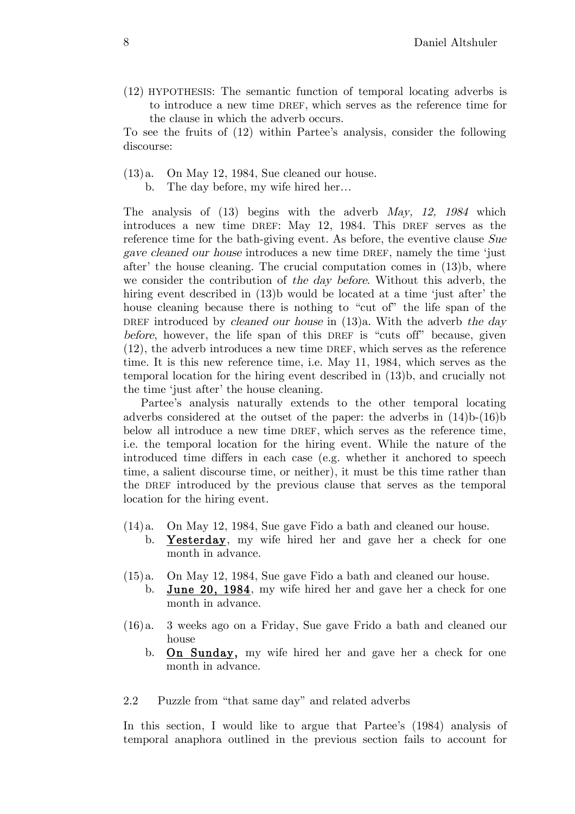(12) HYPOTHESIS: The semantic function of temporal locating adverbs is to introduce a new time DREF, which serves as the reference time for the clause in which the adverb occurs.

To see the fruits of (12) within Partee's analysis, consider the following discourse:

- (13)a. On May 12, 1984, Sue cleaned our house.
	- b. The day before, my wife hired her…

The analysis of (13) begins with the adverb May, 12, 1984 which introduces a new time DREF: May 12, 1984. This DREF serves as the reference time for the bath-giving event. As before, the eventive clause Sue gave cleaned our house introduces a new time DREF, namely the time 'just after' the house cleaning. The crucial computation comes in (13)b, where we consider the contribution of the day before. Without this adverb, the hiring event described in (13)b would be located at a time 'just after' the house cleaning because there is nothing to "cut of" the life span of the DREF introduced by *cleaned our house* in  $(13)a$ . With the adverb the day before, however, the life span of this DREF is "cuts off" because, given (12), the adverb introduces a new time DREF, which serves as the reference time. It is this new reference time, i.e. May 11, 1984, which serves as the temporal location for the hiring event described in (13)b, and crucially not the time 'just after' the house cleaning.

Partee's analysis naturally extends to the other temporal locating adverbs considered at the outset of the paper: the adverbs in (14)b-(16)b below all introduce a new time DREF, which serves as the reference time, i.e. the temporal location for the hiring event. While the nature of the introduced time differs in each case (e.g. whether it anchored to speech time, a salient discourse time, or neither), it must be this time rather than the DREF introduced by the previous clause that serves as the temporal location for the hiring event.

- (14)a. On May 12, 1984, Sue gave Fido a bath and cleaned our house. b. Yesterday, my wife hired her and gave her a check for one month in advance.
- (15)a. On May 12, 1984, Sue gave Fido a bath and cleaned our house. b. June 20, 1984, my wife hired her and gave her a check for one month in advance.
- (16)a. 3 weeks ago on a Friday, Sue gave Frido a bath and cleaned our house
	- b. On Sunday, my wife hired her and gave her a check for one month in advance.

#### 2.2 Puzzle from "that same day" and related adverbs

In this section, I would like to argue that Partee's (1984) analysis of temporal anaphora outlined in the previous section fails to account for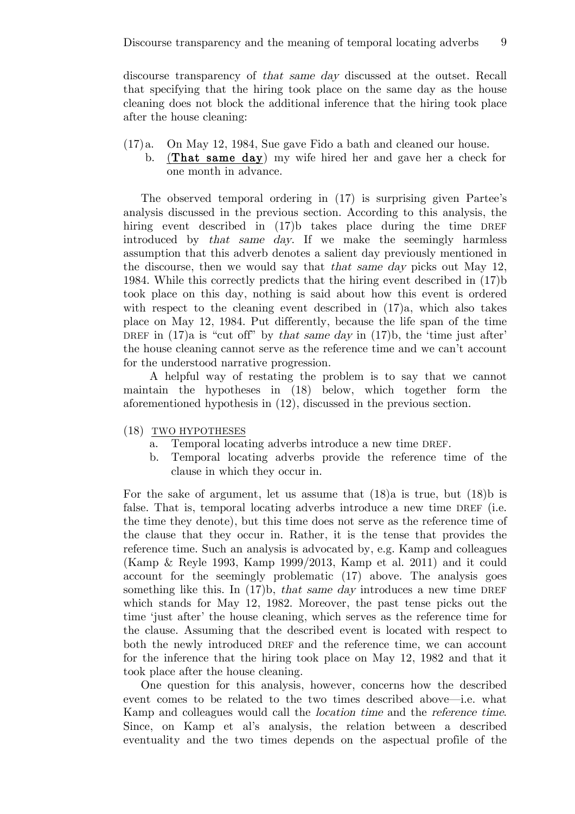discourse transparency of that same day discussed at the outset. Recall that specifying that the hiring took place on the same day as the house cleaning does not block the additional inference that the hiring took place after the house cleaning:

- (17)a. On May 12, 1984, Sue gave Fido a bath and cleaned our house.
	- b. (That same day) my wife hired her and gave her a check for one month in advance.

The observed temporal ordering in (17) is surprising given Partee's analysis discussed in the previous section. According to this analysis, the hiring event described in (17)b takes place during the time DREF introduced by that same day. If we make the seemingly harmless assumption that this adverb denotes a salient day previously mentioned in the discourse, then we would say that that same day picks out May 12, 1984. While this correctly predicts that the hiring event described in (17)b took place on this day, nothing is said about how this event is ordered with respect to the cleaning event described in (17)a, which also takes place on May 12, 1984. Put differently, because the life span of the time DREF in  $(17)$ a is "cut off" by that same day in  $(17)$ b, the 'time just after' the house cleaning cannot serve as the reference time and we can't account for the understood narrative progression.

A helpful way of restating the problem is to say that we cannot maintain the hypotheses in (18) below, which together form the aforementioned hypothesis in (12), discussed in the previous section.

- (18) TWO HYPOTHESES
	- a. Temporal locating adverbs introduce a new time DREF.
	- b. Temporal locating adverbs provide the reference time of the clause in which they occur in.

For the sake of argument, let us assume that (18)a is true, but (18)b is false. That is, temporal locating adverbs introduce a new time DREF (i.e. the time they denote), but this time does not serve as the reference time of the clause that they occur in. Rather, it is the tense that provides the reference time. Such an analysis is advocated by, e.g. Kamp and colleagues (Kamp & Reyle 1993, Kamp 1999/2013, Kamp et al. 2011) and it could account for the seemingly problematic (17) above. The analysis goes something like this. In  $(17)$ b, *that same day* introduces a new time DREF which stands for May 12, 1982. Moreover, the past tense picks out the time 'just after' the house cleaning, which serves as the reference time for the clause. Assuming that the described event is located with respect to both the newly introduced DREF and the reference time, we can account for the inference that the hiring took place on May 12, 1982 and that it took place after the house cleaning.

One question for this analysis, however, concerns how the described event comes to be related to the two times described above—i.e. what Kamp and colleagues would call the location time and the reference time. Since, on Kamp et al's analysis, the relation between a described eventuality and the two times depends on the aspectual profile of the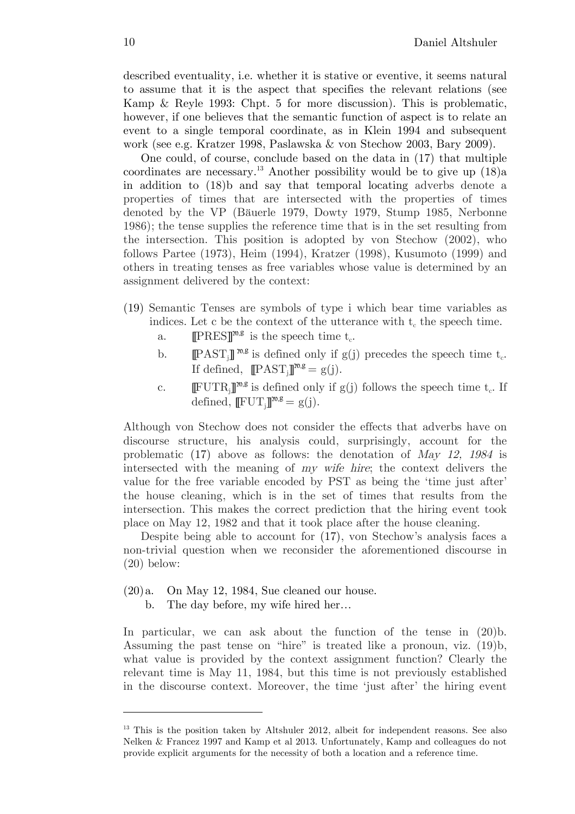described eventuality, i.e. whether it is stative or eventive, it seems natural to assume that it is the aspect that specifies the relevant relations (see Kamp & Reyle 1993: Chpt. 5 for more discussion). This is problematic, however, if one believes that the semantic function of aspect is to relate an event to a single temporal coordinate, as in Klein 1994 and subsequent work (see e.g. Kratzer 1998, Paslawska & von Stechow 2003, Bary 2009).

One could, of course, conclude based on the data in (17) that multiple coordinates are necessary.<sup>13</sup> Another possibility would be to give up  $(18)a$ in addition to (18)b and say that temporal locating adverbs denote a properties of times that are intersected with the properties of times denoted by the VP (Bäuerle 1979, Dowty 1979, Stump 1985, Nerbonne 1986); the tense supplies the reference time that is in the set resulting from the intersection. This position is adopted by von Stechow (2002), who follows Partee (1973), Heim (1994), Kratzer (1998), Kusumoto (1999) and others in treating tenses as free variables whose value is determined by an assignment delivered by the context:

- (19) Semantic Tenses are symbols of type i which bear time variables as indices. Let c be the context of the utterance with  $t_c$  the speech time.
	- a. **IPRES**]<sup> $m, g$ </sup> is the speech time  $t_c$ .
	- b. **[[PAST**<sub>i</sub>]]<sup>n,g</sup> is defined only if g(j) precedes the speech time  $t_c$ . If defined,  $[PAST_j]^{\mathfrak{w},g} = g(j).$
	- c.  $[\mathbb{F} \text{UTR}_{i}]^{m,g}$  is defined only if  $g(j)$  follows the speech time  $t_c$ . If defined,  $[\mathbb{F} \mathbf{U} \mathbf{T}_j]^{\mathbf{m},\mathbf{g}} = g(j).$

Although von Stechow does not consider the effects that adverbs have on discourse structure, his analysis could, surprisingly, account for the problematic (17) above as follows: the denotation of May 12, 1984 is intersected with the meaning of my wife hire; the context delivers the value for the free variable encoded by PST as being the 'time just after' the house cleaning, which is in the set of times that results from the intersection. This makes the correct prediction that the hiring event took place on May 12, 1982 and that it took place after the house cleaning.

Despite being able to account for (17), von Stechow's analysis faces a non-trivial question when we reconsider the aforementioned discourse in (20) below:

- $(20)a$ . On May 12, 1984, Sue cleaned our house.
	- b. The day before, my wife hired her…

In particular, we can ask about the function of the tense in (20)b. Assuming the past tense on "hire" is treated like a pronoun, viz. (19)b, what value is provided by the context assignment function? Clearly the relevant time is May 11, 1984, but this time is not previously established in the discourse context. Moreover, the time 'just after' the hiring event

<sup>&</sup>lt;sup>13</sup> This is the position taken by Altshuler 2012, albeit for independent reasons. See also Nelken & Francez 1997 and Kamp et al 2013. Unfortunately, Kamp and colleagues do not provide explicit arguments for the necessity of both a location and a reference time.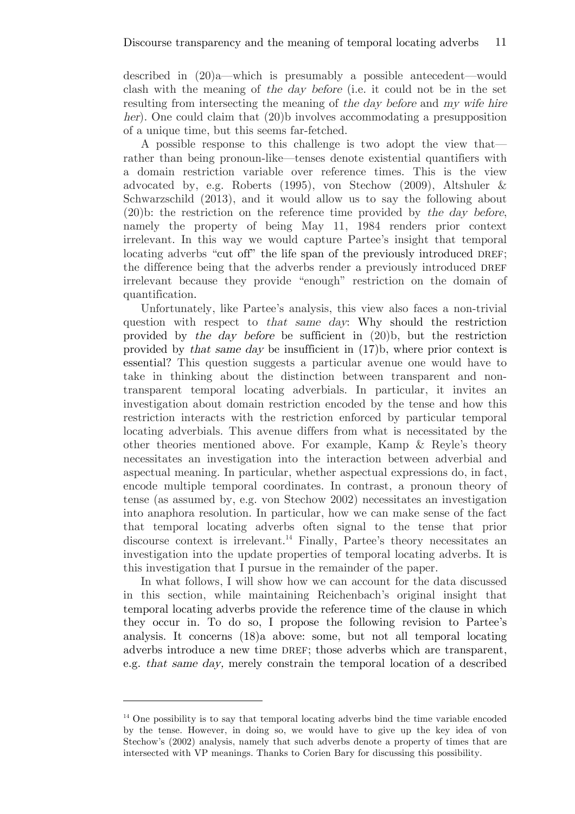described in (20)a—which is presumably a possible antecedent—would clash with the meaning of the day before (i.e. it could not be in the set resulting from intersecting the meaning of the day before and my wife hire her). One could claim that (20)b involves accommodating a presupposition of a unique time, but this seems far-fetched.

A possible response to this challenge is two adopt the view that rather than being pronoun-like—tenses denote existential quantifiers with a domain restriction variable over reference times. This is the view advocated by, e.g. Roberts (1995), von Stechow (2009), Altshuler & Schwarzschild (2013), and it would allow us to say the following about (20)b: the restriction on the reference time provided by the day before, namely the property of being May 11, 1984 renders prior context irrelevant. In this way we would capture Partee's insight that temporal locating adverbs "cut off" the life span of the previously introduced DREF; the difference being that the adverbs render a previously introduced DREF irrelevant because they provide "enough" restriction on the domain of quantification.

Unfortunately, like Partee's analysis, this view also faces a non-trivial question with respect to that same day: Why should the restriction provided by the day before be sufficient in (20)b, but the restriction provided by that same day be insufficient in (17)b, where prior context is essential? This question suggests a particular avenue one would have to take in thinking about the distinction between transparent and nontransparent temporal locating adverbials. In particular, it invites an investigation about domain restriction encoded by the tense and how this restriction interacts with the restriction enforced by particular temporal locating adverbials. This avenue differs from what is necessitated by the other theories mentioned above. For example, Kamp & Reyle's theory necessitates an investigation into the interaction between adverbial and aspectual meaning. In particular, whether aspectual expressions do, in fact, encode multiple temporal coordinates. In contrast, a pronoun theory of tense (as assumed by, e.g. von Stechow 2002) necessitates an investigation into anaphora resolution. In particular, how we can make sense of the fact that temporal locating adverbs often signal to the tense that prior discourse context is irrelevant.<sup>14</sup> Finally, Partee's theory necessitates an investigation into the update properties of temporal locating adverbs. It is this investigation that I pursue in the remainder of the paper.

In what follows, I will show how we can account for the data discussed in this section, while maintaining Reichenbach's original insight that temporal locating adverbs provide the reference time of the clause in which they occur in. To do so, I propose the following revision to Partee's analysis. It concerns (18)a above: some, but not all temporal locating adverbs introduce a new time DREF; those adverbs which are transparent, e.g. that same day, merely constrain the temporal location of a described

<sup>&</sup>lt;sup>14</sup> One possibility is to say that temporal locating adverbs bind the time variable encoded by the tense. However, in doing so, we would have to give up the key idea of von Stechow's (2002) analysis, namely that such adverbs denote a property of times that are intersected with VP meanings. Thanks to Corien Bary for discussing this possibility.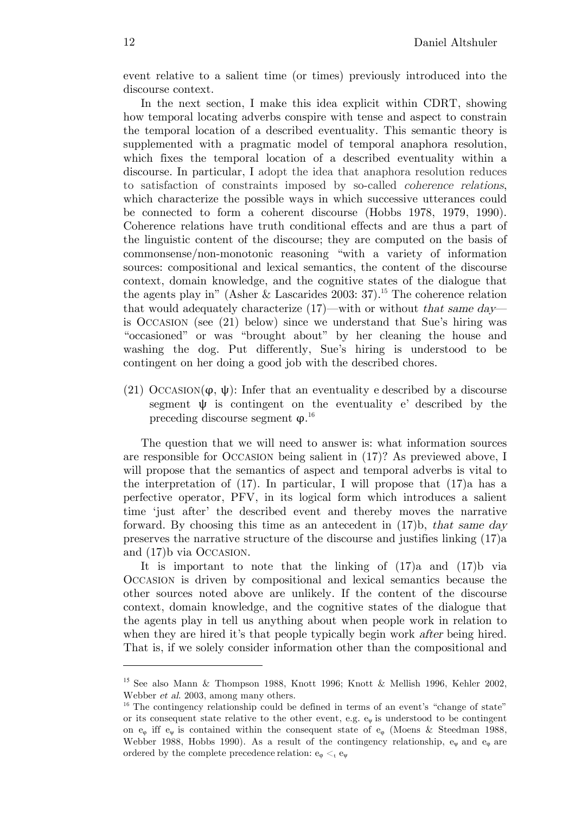event relative to a salient time (or times) previously introduced into the discourse context.

In the next section, I make this idea explicit within CDRT, showing how temporal locating adverbs conspire with tense and aspect to constrain the temporal location of a described eventuality. This semantic theory is supplemented with a pragmatic model of temporal anaphora resolution, which fixes the temporal location of a described eventuality within a discourse. In particular, I adopt the idea that anaphora resolution reduces to satisfaction of constraints imposed by so-called coherence relations, which characterize the possible ways in which successive utterances could be connected to form a coherent discourse (Hobbs 1978, 1979, 1990). Coherence relations have truth conditional effects and are thus a part of the linguistic content of the discourse; they are computed on the basis of commonsense/non-monotonic reasoning "with a variety of information sources: compositional and lexical semantics, the content of the discourse context, domain knowledge, and the cognitive states of the dialogue that the agents play in" (Asher & Lascarides 2003: 37).<sup>15</sup> The coherence relation that would adequately characterize  $(17)$ —with or without that same day is OCCASION (see (21) below) since we understand that Sue's hiring was "occasioned" or was "brought about" by her cleaning the house and washing the dog. Put differently, Sue's hiring is understood to be contingent on her doing a good job with the described chores.

(21) OCCASION( $\varphi, \psi$ ): Infer that an eventuality e described by a discourse segment  $\psi$  is contingent on the eventuality e' described by the preceding discourse segment  $\varphi$ .<sup>16</sup>

 The question that we will need to answer is: what information sources are responsible for OCCASION being salient in (17)? As previewed above, I will propose that the semantics of aspect and temporal adverbs is vital to the interpretation of  $(17)$ . In particular, I will propose that  $(17)$ a has a perfective operator, PFV, in its logical form which introduces a salient time 'just after' the described event and thereby moves the narrative forward. By choosing this time as an antecedent in  $(17)$ b, that same day preserves the narrative structure of the discourse and justifies linking (17)a and (17)b via OCCASION.

It is important to note that the linking of  $(17)$ a and  $(17)$ b via OCCASION is driven by compositional and lexical semantics because the other sources noted above are unlikely. If the content of the discourse context, domain knowledge, and the cognitive states of the dialogue that the agents play in tell us anything about when people work in relation to when they are hired it's that people typically begin work *after* being hired. That is, if we solely consider information other than the compositional and

<sup>&</sup>lt;sup>15</sup> See also Mann & Thompson 1988, Knott 1996; Knott & Mellish 1996, Kehler 2002, Webber et al. 2003, among many others.

<sup>&</sup>lt;sup>16</sup> The contingency relationship could be defined in terms of an event's "change of state" or its consequent state relative to the other event, e.g.  $e_{\psi}$  is understood to be contingent on  $e_{\varphi}$  iff  $e_{\psi}$  is contained within the consequent state of  $e_{\varphi}$  (Moens & Steedman 1988, Webber 1988, Hobbs 1990). As a result of the contingency relationship,  $e_{\psi}$  and  $e_{\phi}$  are ordered by the complete precedence relation:  $e_{\varphi} <_{t} e_{\psi}$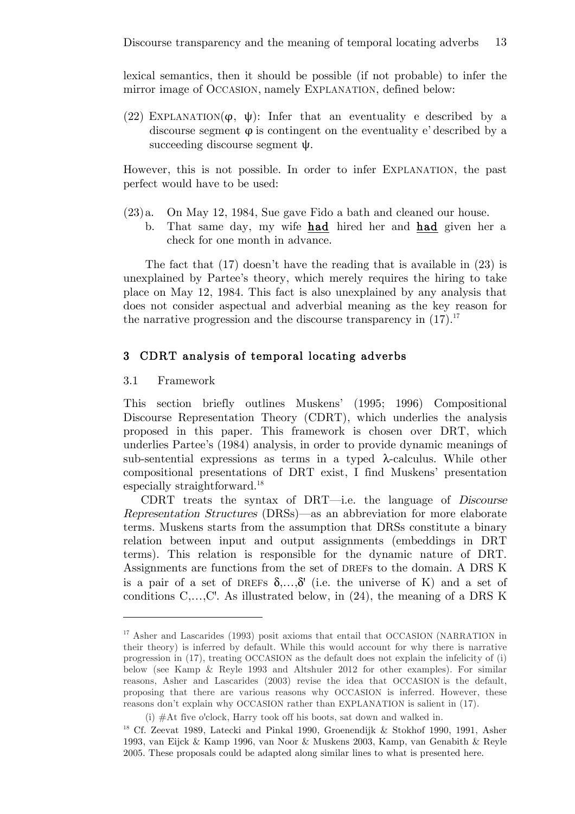lexical semantics, then it should be possible (if not probable) to infer the mirror image of OCCASION, namely EXPLANATION, defined below:

(22) EXPLANATION( $\varphi$ ,  $\psi$ ): Infer that an eventuality e described by a discourse segment  $\varphi$  is contingent on the eventuality e' described by a succeeding discourse segment ψ.

However, this is not possible. In order to infer EXPLANATION, the past perfect would have to be used:

- (23)a. On May 12, 1984, Sue gave Fido a bath and cleaned our house.
	- b. That same day, my wife had hired her and had given her a check for one month in advance.

The fact that (17) doesn't have the reading that is available in (23) is unexplained by Partee's theory, which merely requires the hiring to take place on May 12, 1984. This fact is also unexplained by any analysis that does not consider aspectual and adverbial meaning as the key reason for the narrative progression and the discourse transparency in  $(17).^{17}$ 

### 3 CDRT analysis of temporal locating adverbs

#### 3.1 Framework

 $\overline{a}$ 

This section briefly outlines Muskens' (1995; 1996) Compositional Discourse Representation Theory (CDRT), which underlies the analysis proposed in this paper. This framework is chosen over DRT, which underlies Partee's (1984) analysis, in order to provide dynamic meanings of sub-sentential expressions as terms in a typed  $\lambda$ -calculus. While other compositional presentations of DRT exist, I find Muskens' presentation especially straightforward.18

CDRT treats the syntax of DRT—i.e. the language of Discourse Representation Structures (DRSs)—as an abbreviation for more elaborate terms. Muskens starts from the assumption that DRSs constitute a binary relation between input and output assignments (embeddings in DRT terms). This relation is responsible for the dynamic nature of DRT. Assignments are functions from the set of DREFs to the domain. A DRS K is a pair of a set of DREFs  $\delta$ ,..., $\delta'$  (i.e. the universe of K) and a set of conditions C,…,C'. As illustrated below, in (24), the meaning of a DRS K

<sup>&</sup>lt;sup>17</sup> Asher and Lascarides (1993) posit axioms that entail that OCCASION (NARRATION in their theory) is inferred by default. While this would account for why there is narrative progression in (17), treating OCCASION as the default does not explain the infelicity of (i) below (see Kamp & Reyle 1993 and Altshuler 2012 for other examples). For similar reasons, Asher and Lascarides (2003) revise the idea that OCCASION is the default, proposing that there are various reasons why OCCASION is inferred. However, these reasons don't explain why OCCASION rather than EXPLANATION is salient in (17).

<sup>(</sup>i) #At five o'clock, Harry took off his boots, sat down and walked in.

<sup>18</sup> Cf. Zeevat 1989, Latecki and Pinkal 1990, Groenendijk & Stokhof 1990, 1991, Asher 1993, van Eijck & Kamp 1996, van Noor & Muskens 2003, Kamp, van Genabith & Reyle 2005. These proposals could be adapted along similar lines to what is presented here.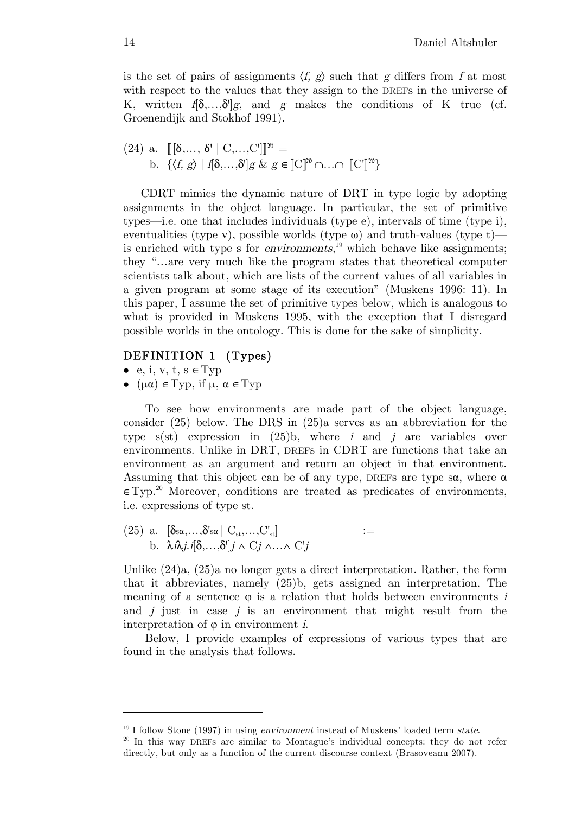is the set of pairs of assignments  $\langle f, g \rangle$  such that g differs from f at most with respect to the values that they assign to the DREFs in the universe of K, written  $f[\delta, \ldots, \delta']g$ , and g makes the conditions of K true (cf. Groenendijk and Stokhof 1991).

(24) a. 
$$
[[\delta, \ldots, \delta' | C, \ldots, C']]]^m =
$$
  
\nb.  $\{\langle f, g \rangle | f[\delta, \ldots, \delta']g \& g \in [[C]]^m \cap \ldots \cap [[C']]^m\}$ 

CDRT mimics the dynamic nature of DRT in type logic by adopting assignments in the object language. In particular, the set of primitive types—i.e. one that includes individuals (type e), intervals of time (type i), eventualities (type v), possible worlds (type  $\omega$ ) and truth-values (type t) is enriched with type s for *environments*,<sup>19</sup> which behave like assignments; they "…are very much like the program states that theoretical computer scientists talk about, which are lists of the current values of all variables in a given program at some stage of its execution" (Muskens 1996: 11). In this paper, I assume the set of primitive types below, which is analogous to what is provided in Muskens 1995, with the exception that I disregard possible worlds in the ontology. This is done for the sake of simplicity.

### DEFINITION 1 (Types)

• e, i, v, t,  $s \in Type$ 

 $\overline{a}$ 

 $\bullet$  ( $\mu \alpha$ )  $\in$  Typ, if  $\mu$ ,  $\alpha \in$  Typ

To see how environments are made part of the object language, consider (25) below. The DRS in (25)a serves as an abbreviation for the type  $s(st)$  expression in  $(25)b$ , where i and j are variables over environments. Unlike in DRT, DREFs in CDRT are functions that take an environment as an argument and return an object in that environment. Assuming that this object can be of any type, DREFs are type  $\alpha$ , where  $\alpha$ ∈Typ. <sup>20</sup> Moreover, conditions are treated as predicates of environments, i.e. expressions of type st.

(25) a.  $[\delta_{s\alpha}, \ldots, \delta_{s\alpha} | C_{st}, \ldots, C_{st}]$  $\left[ \begin{array}{ccc} 1 & \cdots & \cdots & \cdots \end{array} \right]$ b.  $\lambda i\lambda i. i[\delta,...,\delta'] i \wedge C j \wedge ... \wedge C' j$ 

Unlike (24)a, (25)a no longer gets a direct interpretation. Rather, the form that it abbreviates, namely (25)b, gets assigned an interpretation. The meaning of a sentence  $\varphi$  is a relation that holds between environments i and  $j$  just in case  $j$  is an environment that might result from the interpretation of  $\varphi$  in environment *i*.

Below, I provide examples of expressions of various types that are found in the analysis that follows.

<sup>&</sup>lt;sup>19</sup> I follow Stone (1997) in using *environment* instead of Muskens' loaded term *state*. <sup>20</sup> In this way DREFs are similar to Montague's individual concepts: they do not refer

directly, but only as a function of the current discourse context (Brasoveanu 2007).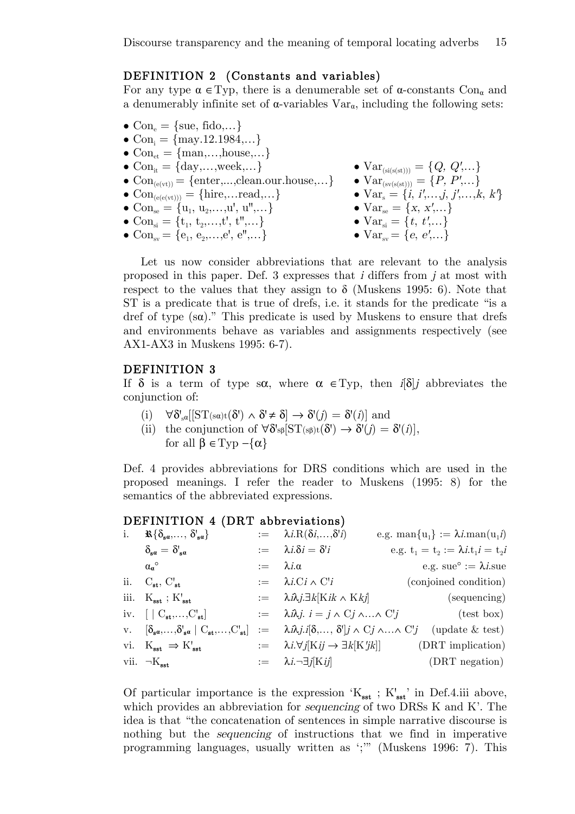### DEFINITION 2 (Constants and variables)

For any type  $\alpha \in \text{Typ}$ , there is a denumerable set of  $\alpha$ -constants Con<sub> $\alpha$ </sub> and a denumerably infinite set of  $\alpha$ -variables  $Var_{\alpha}$ , including the following sets:

- $Con_{\varepsilon} = \{ \text{sue}, \text{fido}, \dots \}$
- Con<sub>i</sub> =  $\{$ may.12.1984,...}
- $Con_{\scriptscriptstyle{\text{et}}} = \{ \text{man}, \dots, \text{house}, \dots \}$
- 
- $Con_{(e(vt))} = \{enter,...,clean.out.\}$   $Var_{(sv(s(st)))} = \{P, P',...\}$
- 
- $Con_{se} = \{u_1, u_2,...,u', u'',...\}$ <br>
 $Con_{se} = \{x, x',...\}$ <br>
 $Con_{si} = \{t_1, t_2,...,t', t'',...\}$ <br>
 $Var_{si} = \{t, t',...\}$
- Con<sub>si</sub> = {t<sub>1</sub>, t<sub>2</sub>,...,t', t",...}
- $Con_{sv} = \{e_1, e_2, \ldots, e', e'', \ldots\}$   $Var_{sv} = \{e, e', \ldots\}$
- $Con_{it} = \{day,...,week,...\}$   $Var_{(sis(st)))} = \{Q, Q', ...\}$ •  $Con_{(e(e(vt)))} = \{ \text{hire}, ... \text{read}, ...\}$  •  $Var_s = \{i, i', ..., j, j', ..., k, k'\}$ 
	-
	-
	-

Let us now consider abbreviations that are relevant to the analysis proposed in this paper. Def. 3 expresses that <sup>i</sup> differs from j at most with respect to the values that they assign to  $\delta$  (Muskens 1995: 6). Note that ST is a predicate that is true of drefs, i.e. it stands for the predicate "is a dref of type (sα)." This predicate is used by Muskens to ensure that drefs and environments behave as variables and assignments respectively (see AX1-AX3 in Muskens 1995: 6-7).

#### DEFINITION 3

If  $\delta$  is a term of type s $\alpha$ , where  $\alpha \in \text{Typ}$ , then  $i[\delta]$  abbreviates the conjunction of:

- (i)  $\forall \delta'_{s\alpha}[[ST(s\alpha)t(\delta') \wedge \delta' \neq \delta] \rightarrow \delta'(j) = \delta'(i)]$  and
- (ii) the conjunction of  $\forall \delta$ 's<sub>β</sub>[ST(s<sub>β</sub>)t( $\delta$ ')  $\rightarrow \delta'(j) = \delta'(i)$ ], for all  $\beta \in \text{Typ } -\{\alpha\}$

Def. 4 provides abbreviations for DRS conditions which are used in the proposed meanings. I refer the reader to Muskens (1995: 8) for the semantics of the abbreviated expressions.

#### DEFINITION 4 (DRT abbreviations)

| i. | $\mathbb{R}\{\delta_{\mathbf{s}a},\ldots,\delta_{\mathbf{s}a}\}$                                                    |                       | $:= \lambda i \cdot R(\delta i, \ldots, \delta' i)$                 | e.g. man ${u_1}$ := $\lambda i$ man $(u_1 i)$                                                                                                                      |
|----|---------------------------------------------------------------------------------------------------------------------|-----------------------|---------------------------------------------------------------------|--------------------------------------------------------------------------------------------------------------------------------------------------------------------|
|    | $\delta_{{\bf s} a} = \delta_{{\bf s} a}$                                                                           |                       | $:= \lambda i \delta i = \delta' i$                                 | e.g. $t_1 = t_2 := \lambda i \cdot t_1 i = t_2 i$                                                                                                                  |
|    | $\alpha_{\alpha}^{\circ}$                                                                                           | $:= \lambda i \alpha$ |                                                                     | e.g. sue <sup>o</sup> := $\lambda$ <i>i</i> .sue                                                                                                                   |
|    | ii. $C_{st}$ , $C_{st}$                                                                                             |                       | $:= \lambda i.Ci \wedge C'i$                                        | (conjoined condition)                                                                                                                                              |
|    | iii. $K_{\text{sst}}$ ; $K'_{\text{sst}}$                                                                           |                       | $:= \lambda i \lambda j \exists k [Kik \wedge Kkj]$                 | (sequencing)                                                                                                                                                       |
|    | iv. $\begin{bmatrix} \mathbf{C}_{\mathbf{st}}, \dots, \mathbf{C}_{\mathbf{st}} \end{bmatrix}$                       |                       | $:=$ $\lambda i \lambda j$ , $i = j \wedge C j \wedge  \wedge C' j$ | $(\text{test box})$                                                                                                                                                |
|    | v. $[\delta_{\mathbf{s}a},\ldots,\delta^{\prime}_{\mathbf{s}a}   C_{\mathbf{s}t},\ldots,C^{\prime}_{\mathbf{s}t}].$ |                       |                                                                     | $\mathcal{L} = \lambda \hat{n}, \text{if } \delta, \dots, \delta' \text{ if } \wedge \text{Cj } \wedge \dots \wedge \text{C'j} \text{ (update } \& \text{ test).}$ |
|    | vi. $K_{\text{sst}} \Rightarrow K'_{\text{sst}}$                                                                    |                       |                                                                     | $:= \lambda i. \forall j[Kij \rightarrow \exists k[K'jk]]$ (DRT implication)                                                                                       |
|    | vii. $\neg K_{\text{sst}}$                                                                                          |                       | $:=$ $\lambda i. \neg \exists j$ [Kij]                              | (DRT negation)                                                                                                                                                     |

Of particular importance is the expression  $K_{\text{sst}}$ ;  $K'_{\text{sst}}$  in Def.4.iii above, which provides an abbreviation for *sequencing* of two DRSs K and K'. The idea is that "the concatenation of sentences in simple narrative discourse is nothing but the sequencing of instructions that we find in imperative programming languages, usually written as ';'" (Muskens 1996: 7). This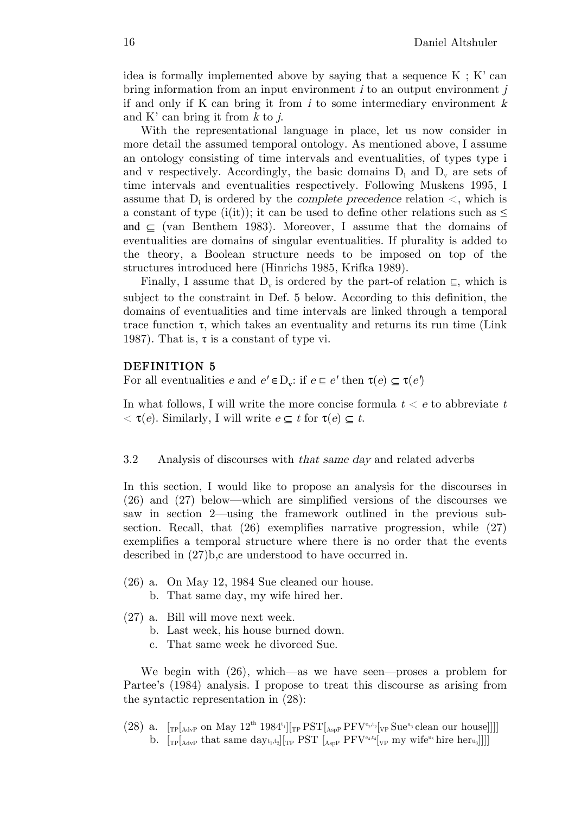idea is formally implemented above by saying that a sequence  $K : K'$  can bring information from an input environment  $i$  to an output environment  $j$ if and only if K can bring it from  $i$  to some intermediary environment  $k$ and K' can bring it from  $k$  to  $j$ .

With the representational language in place, let us now consider in more detail the assumed temporal ontology. As mentioned above, I assume an ontology consisting of time intervals and eventualities, of types type i and v respectively. Accordingly, the basic domains  $D_i$  and  $D_v$  are sets of time intervals and eventualities respectively. Following Muskens 1995, I assume that  $D_i$  is ordered by the *complete precedence* relation  $\lt$ , which is a constant of type (i(it)); it can be used to define other relations such as  $\leq$ and  $\subseteq$  (van Benthem 1983). Moreover, I assume that the domains of eventualities are domains of singular eventualities. If plurality is added to the theory, a Boolean structure needs to be imposed on top of the structures introduced here (Hinrichs 1985, Krifka 1989).

Finally, I assume that  $D_{v}$  is ordered by the part-of relation  $\epsilon$ , which is subject to the constraint in Def. 5 below. According to this definition, the domains of eventualities and time intervals are linked through a temporal trace function  $\tau$ , which takes an eventuality and returns its run time (Link) 1987). That is,  $\tau$  is a constant of type vi.

### DEFINITION 5

For all eventualities  $e$  and  $e' \in D_{\mathbf{v}}$ : if  $e \subseteq e'$  then  $\tau(e) \subseteq \tau(e')$ 

In what follows, I will write the more concise formula  $t < e$  to abbreviate t  $\langle \tau(e), \text{ Similarly}, \text{ I will write } e \subseteq t \text{ for } \tau(e) \subseteq t.$ 

#### 3.2 Analysis of discourses with that same day and related adverbs

In this section, I would like to propose an analysis for the discourses in (26) and (27) below—which are simplified versions of the discourses we saw in section 2—using the framework outlined in the previous subsection. Recall, that (26) exemplifies narrative progression, while (27) exemplifies a temporal structure where there is no order that the events described in (27)b,c are understood to have occurred in.

- (26) a. On May 12, 1984 Sue cleaned our house.
	- b. That same day, my wife hired her.
- (27) a. Bill will move next week.
	- b. Last week, his house burned down.
	- c. That same week he divorced Sue.

We begin with (26), which—as we have seen—proses a problem for Partee's (1984) analysis. I propose to treat this discourse as arising from the syntactic representation in (28):

(28) a.  $[\text{TP}[\text{AdvP} \text{ on May 12}^{th} 1984^t] [\text{TP} \text{PST}[\text{AspP} \text{PFV}^{e_2,t_2}[\text{VP} \text{Sue}^{u_3} \text{clean our house}]]]]$ b.  $[\text{TP}[\text{AdvP} \text{ that same day}_{t_1,t_2}][\text{TP} \text{ PST} \text{ [A<sub>spP</sub> PFV<sup>e_4,t_4</sup>]}[\text{VP} \text{ my wife}^{\text{u}_5} \text{hire her}_{\text{u}_3}]]]]$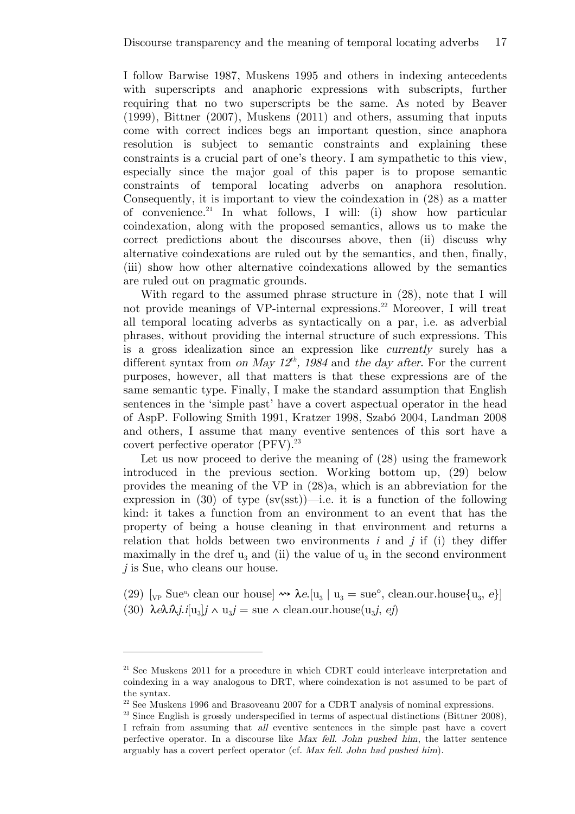I follow Barwise 1987, Muskens 1995 and others in indexing antecedents with superscripts and anaphoric expressions with subscripts, further requiring that no two superscripts be the same. As noted by Beaver (1999), Bittner (2007), Muskens (2011) and others, assuming that inputs come with correct indices begs an important question, since anaphora resolution is subject to semantic constraints and explaining these constraints is a crucial part of one's theory. I am sympathetic to this view, especially since the major goal of this paper is to propose semantic constraints of temporal locating adverbs on anaphora resolution. Consequently, it is important to view the coindexation in (28) as a matter of convenience.<sup>21</sup> In what follows, I will: (i) show how particular coindexation, along with the proposed semantics, allows us to make the correct predictions about the discourses above, then (ii) discuss why alternative coindexations are ruled out by the semantics, and then, finally, (iii) show how other alternative coindexations allowed by the semantics are ruled out on pragmatic grounds.

With regard to the assumed phrase structure in  $(28)$ , note that I will not provide meanings of VP-internal expressions.<sup>22</sup> Moreover, I will treat all temporal locating adverbs as syntactically on a par, i.e. as adverbial phrases, without providing the internal structure of such expressions. This is a gross idealization since an expression like currently surely has a different syntax from on May  $12^{th}$ , 1984 and the day after. For the current purposes, however, all that matters is that these expressions are of the same semantic type. Finally, I make the standard assumption that English sentences in the 'simple past' have a covert aspectual operator in the head of AspP. Following Smith 1991, Kratzer 1998, Szabó 2004, Landman 2008 and others, I assume that many eventive sentences of this sort have a covert perfective operator (PFV). 23

Let us now proceed to derive the meaning of  $(28)$  using the framework introduced in the previous section. Working bottom up, (29) below provides the meaning of the VP in (28)a, which is an abbreviation for the expression in (30) of type  $(sv(sst))$ —i.e. it is a function of the following kind: it takes a function from an environment to an event that has the property of being a house cleaning in that environment and returns a relation that holds between two environments  $i$  and  $j$  if (i) they differ maximally in the dref  $u_3$  and (ii) the value of  $u_3$  in the second environment j is Sue, who cleans our house.

(29)  $\lbrack v_P \rbrack$  Sue<sup>u</sup><sub>3</sub> clean our house]  $\rightsquigarrow \lambda e. \lbrack u_3 \rbrack u_3 = \text{sue}^{\circ}$ , clean.our.house $\{u_3, e\}$ (30)  $\lambda e \lambda i \lambda j i[u_3]j \wedge u_3j = \text{sue} \wedge \text{clean.out} \cdot \text{house}(u_3j, ej)$ 

<sup>&</sup>lt;sup>21</sup> See Muskens 2011 for a procedure in which CDRT could interleave interpretation and coindexing in a way analogous to DRT, where coindexation is not assumed to be part of the syntax.

<sup>22</sup> See Muskens 1996 and Brasoveanu 2007 for a CDRT analysis of nominal expressions.

 $23$  Since English is grossly underspecified in terms of aspectual distinctions (Bittner 2008), I refrain from assuming that all eventive sentences in the simple past have a covert perfective operator. In a discourse like Max fell. John pushed him, the latter sentence arguably has a covert perfect operator (cf. Max fell. John had pushed him).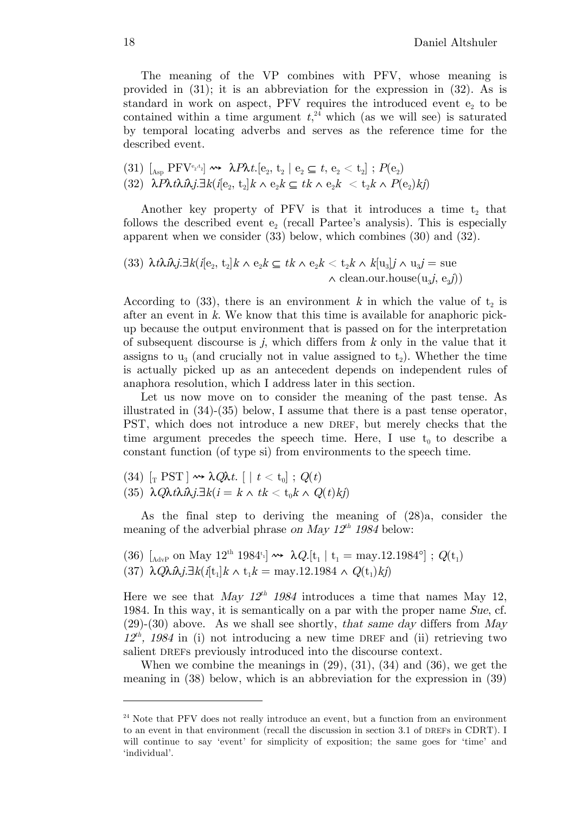The meaning of the VP combines with PFV, whose meaning is provided in (31); it is an abbreviation for the expression in (32). As is standard in work on aspect,  $PFV$  requires the introduced event  $e<sub>2</sub>$  to be contained within a time argument  $t<sub>1</sub><sup>24</sup>$  which (as we will see) is saturated by temporal locating adverbs and serves as the reference time for the described event.

(31) 
$$
[A_{\rm sp} \, \text{PFV}^{\rm e_2,t_2}] \rightsquigarrow \lambda P \lambda t. [e_2, t_2 \mid e_2 \subseteq t, e_2 < t_2] ; P(e_2)
$$
\n(32)  $\lambda P \lambda t \lambda \hat{\lambda} j. \exists k (i[e_2, t_2]k \wedge e_2 k \subseteq tk \wedge e_2 k < t_2 k \wedge P(e_2) k j)$ 

Another key property of PFV is that it introduces a time  $t_2$  that follows the described event  $e_2$  (recall Partee's analysis). This is especially apparent when we consider (33) below, which combines (30) and (32).

(33) 
$$
\lambda t \lambda i \lambda j \exists k (i[e_2, t_2]k \wedge e_2 k \subseteq tk \wedge e_2 k < t_2 k \wedge k[u_3]j \wedge u_3 j = \text{sue}
$$
  
  $\wedge \text{clean.out.house}(u_3 j, e_3 j))$ 

According to (33), there is an environment k in which the value of  $t_2$  is after an event in k. We know that this time is available for anaphoric pickup because the output environment that is passed on for the interpretation of subsequent discourse is  $j$ , which differs from  $k$  only in the value that it assigns to  $u_3$  (and crucially not in value assigned to  $t_2$ ). Whether the time is actually picked up as an antecedent depends on independent rules of anaphora resolution, which I address later in this section.

Let us now move on to consider the meaning of the past tense. As illustrated in (34)-(35) below, I assume that there is a past tense operator, PST, which does not introduce a new DREF, but merely checks that the time argument precedes the speech time. Here, I use  $t_0$  to describe a constant function (of type si) from environments to the speech time.

 $(34) \; \left[_{\rm T} \; {\rm PST} \, \right] \leadsto \lambda Q \! \lambda t. \; \left[ \; \left| \; t < \rm{t_0} \right] \; ; \; Q \! (t) \right]$ 

(35)  $\lambda Q \lambda t \lambda \hat{\mu} i \exists k (i = k \wedge tk < t_0 k \wedge Q(t) k i)$ 

As the final step to deriving the meaning of (28)a, consider the meaning of the adverbial phrase on May  $12^{th}$  1984 below:

(36)  $\left[_{\text{AdvP}} \text{ on May } 12^{\text{th}} 1984^{\text{t}} \right] \rightsquigarrow \lambda Q. \left[ t_1 \mid t_1 = \text{may.} 12.1984^{\circ} \right]$ ;  $Q(t_1)$ (37) λ $Q\lambda i\lambda j.\exists k(i[t_1]k \wedge t_1k = \text{may.}12.1984 \wedge Q(t_1)kj)$ 

Here we see that May  $12^{th}$  1984 introduces a time that names May 12, 1984. In this way, it is semantically on a par with the proper name Sue, cf.  $(29)-(30)$  above. As we shall see shortly, that same day differs from May  $12^{th}$ , 1984 in (i) not introducing a new time DREF and (ii) retrieving two salient DREFs previously introduced into the discourse context.

When we combine the meanings in  $(29)$ ,  $(31)$ ,  $(34)$  and  $(36)$ , we get the meaning in (38) below, which is an abbreviation for the expression in (39)

 $24$  Note that PFV does not really introduce an event, but a function from an environment to an event in that environment (recall the discussion in section 3.1 of DREFs in CDRT). I will continue to say 'event' for simplicity of exposition; the same goes for 'time' and 'individual'.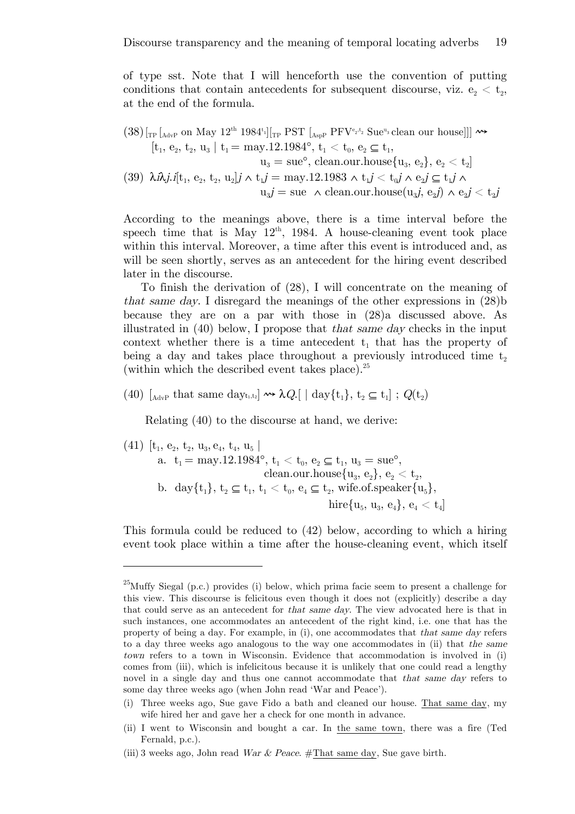of type sst. Note that I will henceforth use the convention of putting conditions that contain antecedents for subsequent discourse, viz.  $e_2 < t_2$ , at the end of the formula.

$$
(38)\begin{bmatrix} {}_{\text{TP}}\begin{bmatrix} {}_{\text{AdvP}} \text{ on May 12}^{\text{th}} \text{ 1984}^{\text{t}} \end{bmatrix}\begin{bmatrix} {}_{\text{TP}} \text{ PST } \begin{bmatrix} {}_{\text{AspP}} \text{ PFV}^{e_2,t_2} \text{ Sue}^{u_3} \text{ clean our house} \end{bmatrix}\end{bmatrix} \rightsquigarrow} \\ {}_{\text{[t_1, e_2, t_2, u_3} \text{ } | \text{ } t_1 = \text{may.}12.1984^{\circ}, \text{ } t_1 < t_0, \text{ } e_2 \subseteq t_1,} \\ {}_{u_3} = \text{sue}^{\circ}, \text{ clean.out house} \{ u_3, \text{ } e_2 \}, \text{ } e_2 < t_2 \end{bmatrix} \\ (39)\begin{bmatrix} \lambda \lambda j. i[t_1, e_2, t_2, u_2] \text{ } j \wedge t_1 \text{ } j = \text{may.}12.1983 \wedge t_1 \text{ } j < t_0 \text{ } j \wedge e_2 \text{ } j \subseteq t_1 \text{ } j \wedge \\ {}_{u_3} \text{ } j = \text{sue} \wedge \text{clean.out house} (u_3 \text{ } j, e_2 \text{ } j) \wedge e_2 \text{ } j < t_2 \text{ } j \end{bmatrix}
$$

According to the meanings above, there is a time interval before the speech time that is May  $12<sup>th</sup>$ , 1984. A house-cleaning event took place within this interval. Moreover, a time after this event is introduced and, as will be seen shortly, serves as an antecedent for the hiring event described later in the discourse.

To finish the derivation of (28), I will concentrate on the meaning of that same day. I disregard the meanings of the other expressions in (28)b because they are on a par with those in (28)a discussed above. As illustrated in  $(40)$  below, I propose that that same day checks in the input context whether there is a time antecedent  $t_1$  that has the property of being a day and takes place throughout a previously introduced time  $t_2$ (within which the described event takes place). 25

(40)  $\left[\begin{smallmatrix} A_{\text{d}vp} \end{smallmatrix}\right]$  that same dayt<sub>1,t2</sub>]  $\rightsquigarrow \lambda Q$ .  $\left[\begin{smallmatrix} \end{smallmatrix}\right]$  day $\left\{\begin{smallmatrix} t_1 \end{smallmatrix}\right\}$ ,  $t_2 \subseteq t_1$  ;  $Q(t_2)$ 

Relating (40) to the discourse at hand, we derive:

 $\overline{a}$ 

$$
\begin{aligned}(41)\,\, &\left[t_1,\,e_2,\,t_2,\,u_3,\,e_4,\,t_4,\,u_5\ \right] \\ \text{a. } &\left.t_1 = \text{may.}12.1984^{\text{o}},\,t_1 < t_0,\,e_2 \subseteq t_1,\,u_3 = \text{sue}^{\text{o}}, \\\text{clean.out.house}\{u_3,\,e_2\},\,e_2 < t_2, \\ &\text{b. day}\{t_1\},\,t_2 \subseteq t_1,\,t_1 < t_0,\,e_4 \subseteq t_2\text{, wife.of.speaker}\{u_5\}, \\ &\text{hire}\{u_5,\,u_3,\,e_4\},\,e_4 < t_4\end{aligned}
$$

This formula could be reduced to (42) below, according to which a hiring event took place within a time after the house-cleaning event, which itself

<sup>&</sup>lt;sup>25</sup>Muffy Siegal (p.c.) provides (i) below, which prima facie seem to present a challenge for this view. This discourse is felicitous even though it does not (explicitly) describe a day that could serve as an antecedent for that same day. The view advocated here is that in such instances, one accommodates an antecedent of the right kind, i.e. one that has the property of being a day. For example, in (i), one accommodates that that same day refers to a day three weeks ago analogous to the way one accommodates in (ii) that the same town refers to a town in Wisconsin. Evidence that accommodation is involved in (i) comes from (iii), which is infelicitous because it is unlikely that one could read a lengthy novel in a single day and thus one cannot accommodate that that same day refers to some day three weeks ago (when John read 'War and Peace').

<sup>(</sup>i) Three weeks ago, Sue gave Fido a bath and cleaned our house. That same day, my wife hired her and gave her a check for one month in advance.

<sup>(</sup>ii) I went to Wisconsin and bought a car. In the same town, there was a fire (Ted Fernald, p.c.).

<sup>(</sup>iii) 3 weeks ago, John read *War & Peace.* #That same day, Sue gave birth.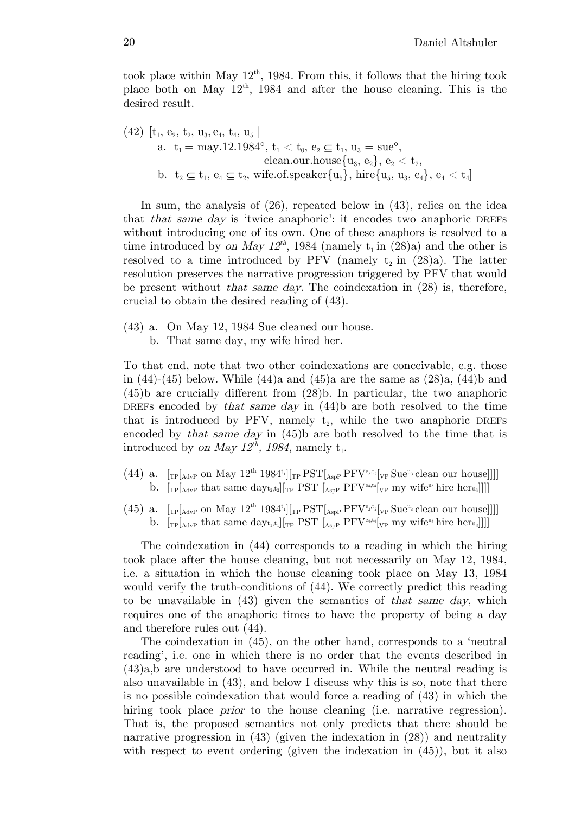took place within May  $12<sup>th</sup>$ , 1984. From this, it follows that the hiring took place both on May  $12<sup>th</sup>$ , 1984 and after the house cleaning. This is the desired result.

$$
\begin{aligned}(42)\,\, &\, \left[t_1,\, e_2,\, t_2,\, u_3,\, e_4,\, t_4,\, u_5\ \right] \\ \text{a. } &\, t_1 = \, \text{may.} 12.1984^\text{o},\, t_1 < t_0,\, e_2 \subseteq t_1,\, u_3 = \text{sue}^\text{o}, \\ &\quad \text{clean.our.house} \{u_3,\, e_2\},\, e_2 < t_2, \\ \text{b. } &\, t_2 \subseteq t_1,\, e_4 \subseteq t_2, \, \text{wife.of.speaker} \{u_5\}, \, \text{hire} \{u_5,\, u_3,\, e_4\},\, e_4 < t_4\end{aligned}
$$

In sum, the analysis of (26), repeated below in (43), relies on the idea that that same day is 'twice anaphoric': it encodes two anaphoric DREFs without introducing one of its own. One of these anaphors is resolved to a time introduced by on May 12<sup>th</sup>, 1984 (namely  $t_1$  in (28)a) and the other is resolved to a time introduced by PFV (namely  $t_2$  in (28)a). The latter resolution preserves the narrative progression triggered by PFV that would be present without that same day. The coindexation in (28) is, therefore, crucial to obtain the desired reading of (43).

- (43) a. On May 12, 1984 Sue cleaned our house.
	- b. That same day, my wife hired her.

To that end, note that two other coindexations are conceivable, e.g. those in (44)-(45) below. While (44)a and (45)a are the same as  $(28)a$ , (44)b and (45)b are crucially different from (28)b. In particular, the two anaphoric DREFs encoded by that same day in (44)b are both resolved to the time that is introduced by PFV, namely  $t_2$ , while the two anaphoric DREFs encoded by that same day in (45)b are both resolved to the time that is introduced by on May  $12^{th}$ , 1984, namely  $t_1$ .

- (44) a.  $[\text{TP}[\text{AdvP} \text{ on May 12}^{th} 1984^t] [\text{TP} \text{PST}[\text{AspP} \text{PFV}^{e_2,t_2}[\text{VP} \text{Sue}^{u_3} \text{clean our house}]]]]$ b.  $[\text{TP}[\text{AdvP} \text{ that same day}_{t_2,t_2}][\text{TP} \text{ PST} \text{ [A<sub>spP</sub> PFV<sup>e_4,t_4</sup>]}[\text{VP} \text{ my wife}^{\text{u}_5} \text{hire her}_{\text{u}_3}]]]]$
- (45) a.  $[\text{TP}[\text{AdvP} \text{ on May 12}^{th} 1984^t] [\text{TP} \text{PST}[\text{AspP} \text{PFV}^{e_2,t_2}[\text{VP} \text{Sue}^{u_3} \text{clean our house}]]]]$ b.  $[\text{TP}[\text{AdvP} \text{ that same day}_{t_1,t_1}][\text{TP} \text{PST} \text{ [A<sub>spP</sub> PFV<sup>e4,t4</sup>]}[\text{VP} \text{ my wife}^{\text{u}_5} \text{hire heru}_3]]]]$

The coindexation in (44) corresponds to a reading in which the hiring took place after the house cleaning, but not necessarily on May 12, 1984, i.e. a situation in which the house cleaning took place on May 13, 1984 would verify the truth-conditions of (44). We correctly predict this reading to be unavailable in  $(43)$  given the semantics of that same day, which requires one of the anaphoric times to have the property of being a day and therefore rules out (44).

The coindexation in (45), on the other hand, corresponds to a 'neutral reading', i.e. one in which there is no order that the events described in (43)a,b are understood to have occurred in. While the neutral reading is also unavailable in (43), and below I discuss why this is so, note that there is no possible coindexation that would force a reading of (43) in which the hiring took place *prior* to the house cleaning (i.e. narrative regression). That is, the proposed semantics not only predicts that there should be narrative progression in  $(43)$  (given the indexation in  $(28)$ ) and neutrality with respect to event ordering (given the indexation in  $(45)$ ), but it also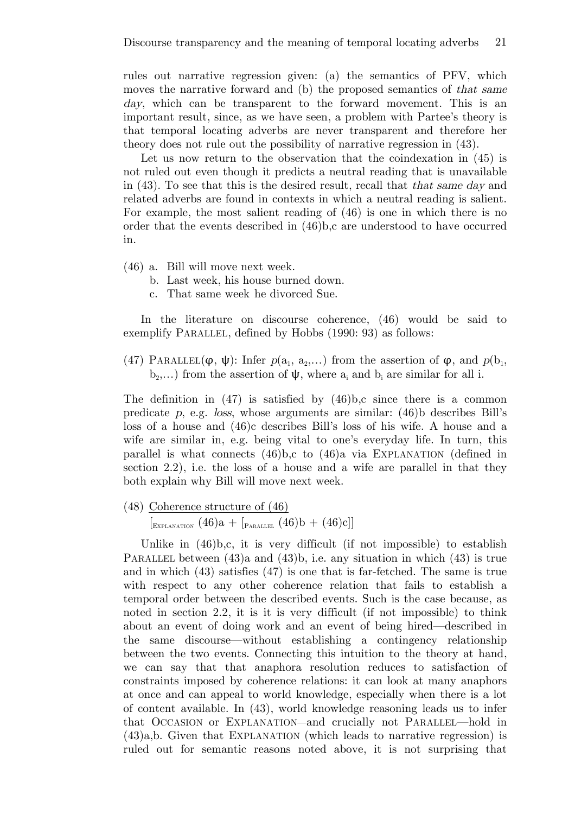rules out narrative regression given: (a) the semantics of PFV, which moves the narrative forward and (b) the proposed semantics of that same day, which can be transparent to the forward movement. This is an important result, since, as we have seen, a problem with Partee's theory is that temporal locating adverbs are never transparent and therefore her theory does not rule out the possibility of narrative regression in (43).

Let us now return to the observation that the coindexation in  $(45)$  is not ruled out even though it predicts a neutral reading that is unavailable in (43). To see that this is the desired result, recall that that same day and related adverbs are found in contexts in which a neutral reading is salient. For example, the most salient reading of (46) is one in which there is no order that the events described in (46)b,c are understood to have occurred in.

- (46) a. Bill will move next week.
	- b. Last week, his house burned down.
	- c. That same week he divorced Sue.

In the literature on discourse coherence, (46) would be said to exemplify PARALLEL, defined by Hobbs (1990: 93) as follows:

(47) PARALLEL( $\varphi, \psi$ ): Infer  $p(a_1, a_2,...)$  from the assertion of  $\varphi$ , and  $p(b_1, a_2,...)$  $b_2,...$ ) from the assertion of  $\psi$ , where  $a_i$  and  $b_i$  are similar for all i.

The definition in  $(47)$  is satisfied by  $(46)$ b,c since there is a common predicate  $p$ , e.g. loss, whose arguments are similar: (46)b describes Bill's loss of a house and (46)c describes Bill's loss of his wife. A house and a wife are similar in, e.g. being vital to one's everyday life. In turn, this parallel is what connects  $(46)$ b,c to  $(46)$ a via EXPLANATION (defined in section 2.2), i.e. the loss of a house and a wife are parallel in that they both explain why Bill will move next week.

(48) Coherence structure of (46)

 $\left[_{\text{Explanation}} (46) a + \left[_{\text{PaBALLEL}} (46) b + (46) c \right] \right]$ 

Unlike in  $(46)$ , it is very difficult (if not impossible) to establish PARALLEL between  $(43)$ a and  $(43)$ b, i.e. any situation in which  $(43)$  is true and in which (43) satisfies (47) is one that is far-fetched. The same is true with respect to any other coherence relation that fails to establish a temporal order between the described events. Such is the case because, as noted in section 2.2, it is it is very difficult (if not impossible) to think about an event of doing work and an event of being hired—described in the same discourse—without establishing a contingency relationship between the two events. Connecting this intuition to the theory at hand, we can say that that anaphora resolution reduces to satisfaction of constraints imposed by coherence relations: it can look at many anaphors at once and can appeal to world knowledge, especially when there is a lot of content available. In (43), world knowledge reasoning leads us to infer that OCCASION or EXPLANATION—and crucially not PARALLEL—hold in (43)a,b. Given that EXPLANATION (which leads to narrative regression) is ruled out for semantic reasons noted above, it is not surprising that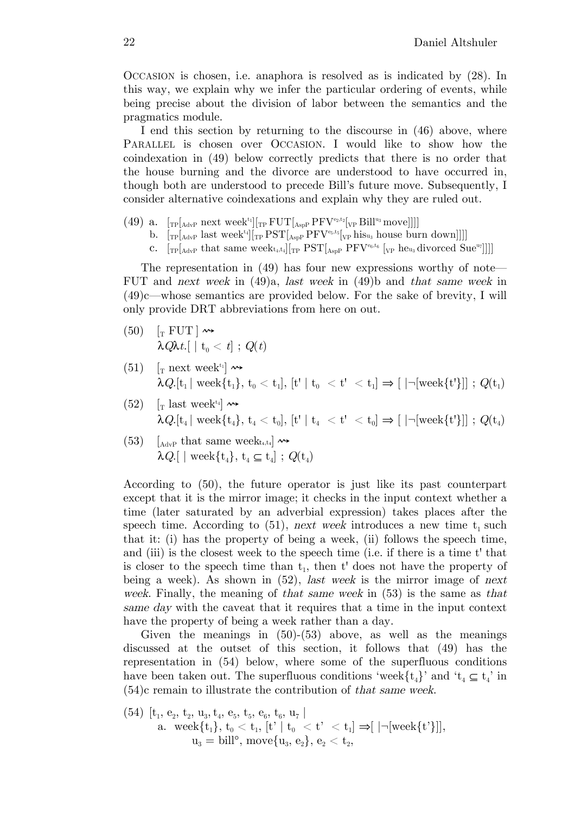OCCASION is chosen, i.e. anaphora is resolved as is indicated by (28). In this way, we explain why we infer the particular ordering of events, while being precise about the division of labor between the semantics and the pragmatics module.

I end this section by returning to the discourse in (46) above, where PARALLEL is chosen over OCCASION. I would like to show how the coindexation in (49) below correctly predicts that there is no order that the house burning and the divorce are understood to have occurred in, though both are understood to precede Bill's future move. Subsequently, I consider alternative coindexations and explain why they are ruled out.

- (49) a.  $[\text{TP}[\text{AdvP} \text{ next week}^{t_1}][\text{TP} \text{ FUT}[\text{AspP} \text{PFV}^{e_2,t_2}[\text{VP} \text{Bill}^{u_3} \text{move}]]]]$ 
	- b.  $[\text{TP}[\text{AdvP} \text{ last week}^{t_4}][\text{TP} \text{PST}[\text{AspP} \text{PFV}^{\text{e}_5,t_5}[\text{VP} \text{his}_{u_3} \text{ house burn down}]]]]$
	- c.  $[\text{TP}[\text{AdvP} \text{ that same week}_{t_4,t_4}][\text{TP} \text{PST}[\text{AspP} \text{PFV}^{\text{eq},t_6} \text{ }[\text{VP} \text{ he}_{u_3} \text{divorced Sue}^{u_7}]]]]$

The representation in (49) has four new expressions worthy of note— FUT and next week in (49)a, last week in (49)b and that same week in (49)c—whose semantics are provided below. For the sake of brevity, I will only provide DRT abbreviations from here on out.

- $(50)$   $\left[\text{T} \text{ FUT}\right] \rightarrow$  $\lambda Q\lambda t$ .[ | t<sub>0</sub> < t] ; Q(t)
- $(51)$  [<sub>T</sub> next week<sup>t<sub>1</sub>]</sup>  $\rightsquigarrow$  $\lambda Q.[t_1 | \text{ week}\{t_1\}, t_0 < t_1], [\text{t'} | t_0 < t' < t_1] \Rightarrow [ | \neg [\text{week}\{t'\}] ] ; Q(t_1)$
- (52)  $\left[\right]$  last week<sup>t4</sup>  $\rightarrow$  $\lambda Q.[t_4\,|\,\,\mathrm{week}\{t_4\},\,t_4 < t_0],\,[t^*\mid t_4] < t^*\,\,<\,t_0] \Rightarrow [\,\,\,]\neg[\mathrm{week}\{t'\}]]\,\,;\,\,Q(t_4)$
- (53)  $\left[\begin{smallmatrix} \Delta & \Delta & \Delta \\ \Delta & \Delta & \Delta \end{smallmatrix}\right]$  and  $\Delta$  that same weekt<sub>4,t4</sub>  $\rightarrow$  $\lambda Q.$ [ | week $\{t_4\}, t_4 \subseteq t_4$ ];  $Q(t_4)$

According to (50), the future operator is just like its past counterpart except that it is the mirror image; it checks in the input context whether a time (later saturated by an adverbial expression) takes places after the speech time. According to  $(51)$ , next week introduces a new time  $t_1$  such that it: (i) has the property of being a week, (ii) follows the speech time, and (iii) is the closest week to the speech time (i.e. if there is a time t' that is closer to the speech time than  $t_1$ , then t' does not have the property of being a week). As shown in  $(52)$ , *last week* is the mirror image of next week. Finally, the meaning of that same week in (53) is the same as that same day with the caveat that it requires that a time in the input context have the property of being a week rather than a day.

Given the meanings in  $(50)-(53)$  above, as well as the meanings discussed at the outset of this section, it follows that (49) has the representation in (54) below, where some of the superfluous conditions have been taken out. The superfluous conditions 'week $\{t_4\}$ ' and ' $t_4 \subseteq t_4$ ' in (54)c remain to illustrate the contribution of that same week.

$$
\begin{array}{ll} \text{(54)} \ \ [\text{t}_1, \ \text{e}_2, \ \text{t}_2, \ \text{u}_3, \ \text{t}_4, \ \text{e}_5, \ \text{t}_5, \ \text{e}_6, \ \text{t}_6, \ \text{u}_7 \ ] \\ \text{a.} \quad \text{week} \{ \text{t}_1 \}, \ \text{t}_0 < \text{t}_1, \ [\text{t'} \ | \ \text{t}_0 \ < \ \text{t'} \ < \ \text{t}_1 ] \Rightarrow [ \ | \neg [\text{week} \{ \text{t'} \} ]], \\ \text{u}_3 = \text{bill}^{\text{o}}, \ \text{move} \{ \text{u}_3, \ \text{e}_2 \}, \ \text{e}_2 < \ \text{t}_2, \end{array}
$$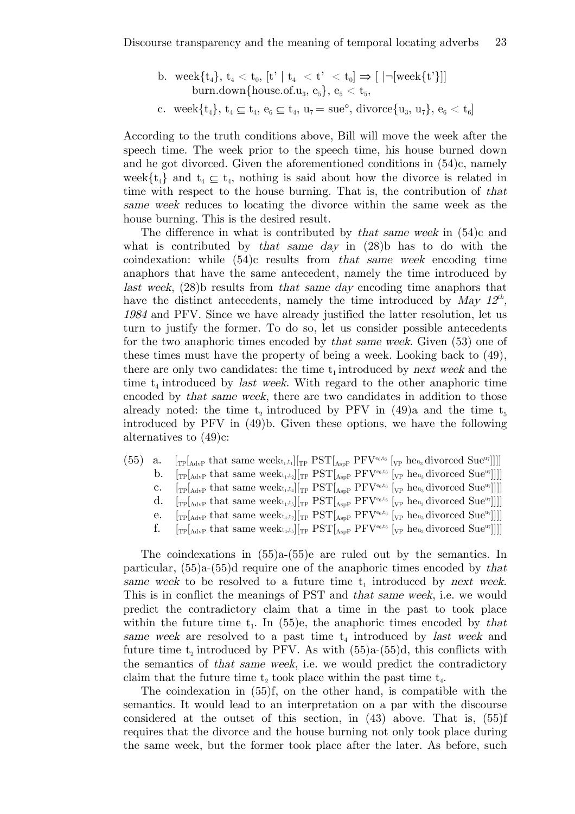b. week $\{t_4\}, t_4 < t_0$ ,  $[t' | t_4 < t' < t_0] \Rightarrow | |\neg | \text{week} \{t'\}| |$ burn.down{house.of.u<sub>3</sub>,  $e_5$ },  $e_5 < t_5$ , c. week $\{t_4\}$ ,  $t_4 \subseteq t_4$ ,  $e_6 \subseteq t_4$ ,  $u_7 = \text{sue}^{\circ}$ , divorce $\{u_3, u_7\}$ ,  $e_6 < t_6$ 

According to the truth conditions above, Bill will move the week after the speech time. The week prior to the speech time, his house burned down and he got divorced. Given the aforementioned conditions in (54)c, namely week $\{t_4\}$  and  $t_4 \subseteq t_4$ , nothing is said about how the divorce is related in time with respect to the house burning. That is, the contribution of that same week reduces to locating the divorce within the same week as the house burning. This is the desired result.

The difference in what is contributed by *that same week* in  $(54)$ c and what is contributed by *that same day* in  $(28)$  has to do with the coindexation: while (54)c results from that same week encoding time anaphors that have the same antecedent, namely the time introduced by last week, (28)b results from that same day encoding time anaphors that have the distinct antecedents, namely the time introduced by May  $12^{th}$ , <sup>1984</sup> and PFV. Since we have already justified the latter resolution, let us turn to justify the former. To do so, let us consider possible antecedents for the two anaphoric times encoded by that same week. Given (53) one of these times must have the property of being a week. Looking back to (49), there are only two candidates: the time  $t_1$  introduced by next week and the time  $t_4$  introduced by *last week*. With regard to the other anaphoric time encoded by that same week, there are two candidates in addition to those already noted: the time  $t_2$  introduced by PFV in (49)a and the time  $t_5$ introduced by PFV in (49)b. Given these options, we have the following alternatives to (49)c:

- (55) a.  $[\text{TP}[\text{AdvP} \text{ that same week}_{t_1,t_1}][\text{TP} \text{PST}[\text{AspP} \text{PFV}^{\text{ee},t_6}[\text{VP} \text{ heu}_3 \text{divorced Sue}^{\text{ur}}]]]]$ 
	- b.  $[\text{TP}[\text{AdvP} \text{ that same week}_{t_1,t_2}][\text{TP} \text{PST}[\text{AspP} \text{PFV}^{\text{eq},t_6}][\text{VP} \text{ heu}_3 \text{divorced Sue}^{\text{u}_7}]]]]$
	- c.  $[\text{TP}[\text{AdvP} \text{ that same week}_{t_1,t_4}][\text{TP} \text{PST}[\text{AspP} \text{PFV}^{\text{ee},t_6}][\text{VP} \text{ he}_{u_3} \text{divorced Sue}^{u_7}]]]]$
	- d.  $[\text{TP}[\text{AdvP} \text{ that same week}_{t_1,t_5}][\text{TP} \text{ PST}[\text{AspP} \text{ PFV}^{\text{ee},t_6}][\text{VP} \text{ heu}_3 \text{divorced Sue}^{\text{ur}}]]]]$
	- e.  $[\text{TP}[\text{AdvP} \text{ that same week}_{t_4,t_2}]]_{TP} \text{PST}[\text{AspP} \text{ PFV}^{\text{eq},t_6} [\text{VP} \text{ heu}_3 \text{divorced Sue}^{\text{u}_7}]]]]$
	- f.  $[\text{TP}[\text{AdvP} \text{ that same week}_{t_4,t_5}][\text{TP} \text{ PST}[\text{AspP} \text{ PFV}^{\text{eq},t_6}][\text{VP} \text{ heu}_3 \text{divorced Sue}^{\text{u}_7}]]]]$

The coindexations in (55)a-(55)e are ruled out by the semantics. In particular, (55)a-(55)d require one of the anaphoric times encoded by that same week to be resolved to a future time  $t_1$  introduced by next week. This is in conflict the meanings of PST and that same week, i.e. we would predict the contradictory claim that a time in the past to took place within the future time  $t_1$ . In (55)e, the anaphoric times encoded by that same week are resolved to a past time  $t_4$  introduced by *last week* and future time  $t_2$  introduced by PFV. As with  $(55)a-(55)d$ , this conflicts with the semantics of that same week, i.e. we would predict the contradictory claim that the future time  $t_2$  took place within the past time  $t_4$ .

The coindexation in (55)f, on the other hand, is compatible with the semantics. It would lead to an interpretation on a par with the discourse considered at the outset of this section, in (43) above. That is, (55)f requires that the divorce and the house burning not only took place during the same week, but the former took place after the later. As before, such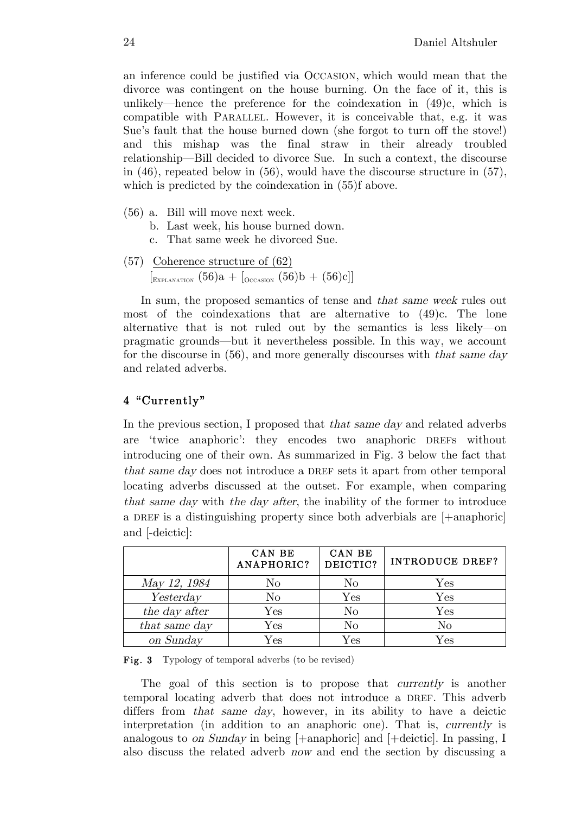an inference could be justified via OCCASION, which would mean that the divorce was contingent on the house burning. On the face of it, this is unlikely—hence the preference for the coindexation in  $(49)c$ , which is compatible with PARALLEL. However, it is conceivable that, e.g. it was Sue's fault that the house burned down (she forgot to turn off the stove!) and this mishap was the final straw in their already troubled relationship—Bill decided to divorce Sue. In such a context, the discourse in (46), repeated below in (56), would have the discourse structure in (57), which is predicted by the coindexation in  $(55)$ f above.

- (56) a. Bill will move next week.
	- b. Last week, his house burned down.
	- c. That same week he divorced Sue.
- (57) Coherence structure of (62)  $\left[_{\text{ExPLANATION}} (56)a + \left[_{\text{Occasion}} (56)b + (56)c \right] \right]$

In sum, the proposed semantics of tense and that same week rules out most of the coindexations that are alternative to (49)c. The lone alternative that is not ruled out by the semantics is less likely—on pragmatic grounds—but it nevertheless possible. In this way, we account for the discourse in (56), and more generally discourses with that same day and related adverbs.

# 4 "Currently"

In the previous section, I proposed that that same day and related adverbs are 'twice anaphoric': they encodes two anaphoric DREFs without introducing one of their own. As summarized in Fig. 3 below the fact that that same day does not introduce a DREF sets it apart from other temporal locating adverbs discussed at the outset. For example, when comparing that same day with the day after, the inability of the former to introduce a DREF is a distinguishing property since both adverbials are [+anaphoric] and [-deictic]:

|               | CAN BE<br>ANAPHORIC? | CAN BE<br>DEICTIC? | <b>INTRODUCE DREF?</b> |
|---------------|----------------------|--------------------|------------------------|
| May 12, 1984  | No                   | No                 | Yes                    |
| Yesterday     | No                   | $\rm Yes$          | ${\rm Yes}$            |
| the day after | $\operatorname{Yes}$ | $\rm No$           | $\rm Yes$              |
| that same day | $\rm Yes$            | No                 | No                     |
| on Sunday     | $\rm Yes$            | $\rm Yes$          | $\rm Yes$              |

Fig. 3 Typology of temporal adverbs (to be revised)

The goal of this section is to propose that *currently* is another temporal locating adverb that does not introduce a DREF. This adverb differs from *that same day*, however, in its ability to have a deictic interpretation (in addition to an anaphoric one). That is, currently is analogous to on Sunday in being  $[+$ anaphoric] and  $[+$ deictic]. In passing, I also discuss the related adverb now and end the section by discussing a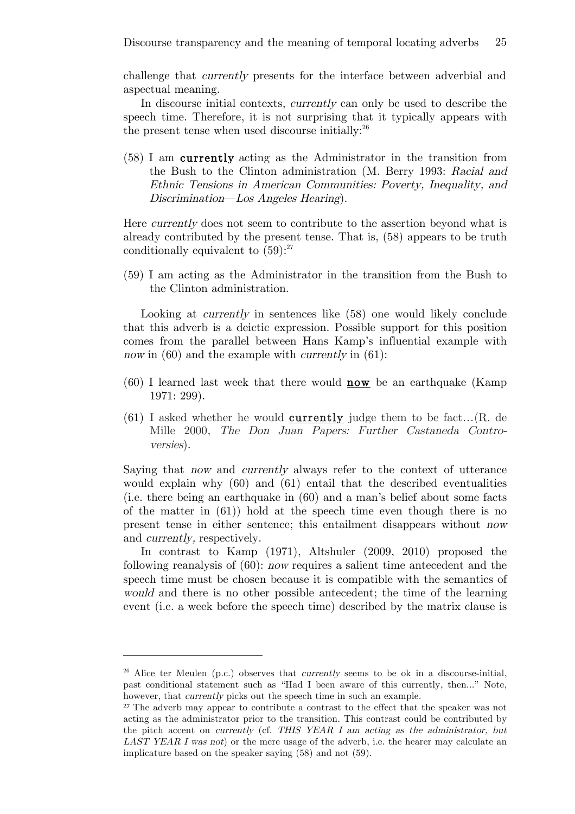challenge that currently presents for the interface between adverbial and aspectual meaning.

In discourse initial contexts, currently can only be used to describe the speech time. Therefore, it is not surprising that it typically appears with the present tense when used discourse initially:<sup>26</sup>

(58) I am currently acting as the Administrator in the transition from the Bush to the Clinton administration (M. Berry 1993: Racial and Ethnic Tensions in American Communities: Poverty, Inequality, and Discrimination—Los Angeles Hearing).

Here currently does not seem to contribute to the assertion beyond what is already contributed by the present tense. That is, (58) appears to be truth conditionally equivalent to  $(59)$ :<sup>27</sup>

(59) I am acting as the Administrator in the transition from the Bush to the Clinton administration.

Looking at *currently* in sentences like (58) one would likely conclude that this adverb is a deictic expression. Possible support for this position comes from the parallel between Hans Kamp's influential example with now in  $(60)$  and the example with *currently* in  $(61)$ :

- $(60)$  I learned last week that there would **now** be an earthquake (Kamp 1971: 299).
- $(61)$  I asked whether he would **currently** judge them to be fact... $(R. de)$ Mille 2000, The Don Juan Papers: Further Castaneda Controversies).

Saying that now and currently always refer to the context of utterance would explain why (60) and (61) entail that the described eventualities (i.e. there being an earthquake in (60) and a man's belief about some facts of the matter in  $(61)$  hold at the speech time even though there is no present tense in either sentence; this entailment disappears without now and currently, respectively.

In contrast to Kamp (1971), Altshuler (2009, 2010) proposed the following reanalysis of (60): now requires a salient time antecedent and the speech time must be chosen because it is compatible with the semantics of would and there is no other possible antecedent; the time of the learning event (i.e. a week before the speech time) described by the matrix clause is

<sup>&</sup>lt;sup>26</sup> Alice ter Meulen (p.c.) observes that *currently* seems to be ok in a discourse-initial. past conditional statement such as "Had I been aware of this currently, then..." Note, however, that *currently* picks out the speech time in such an example.

<sup>27</sup> The adverb may appear to contribute a contrast to the effect that the speaker was not acting as the administrator prior to the transition. This contrast could be contributed by the pitch accent on currently (cf. THIS YEAR I am acting as the administrator, but LAST YEAR I was not or the mere usage of the adverb, i.e. the hearer may calculate an implicature based on the speaker saying (58) and not (59).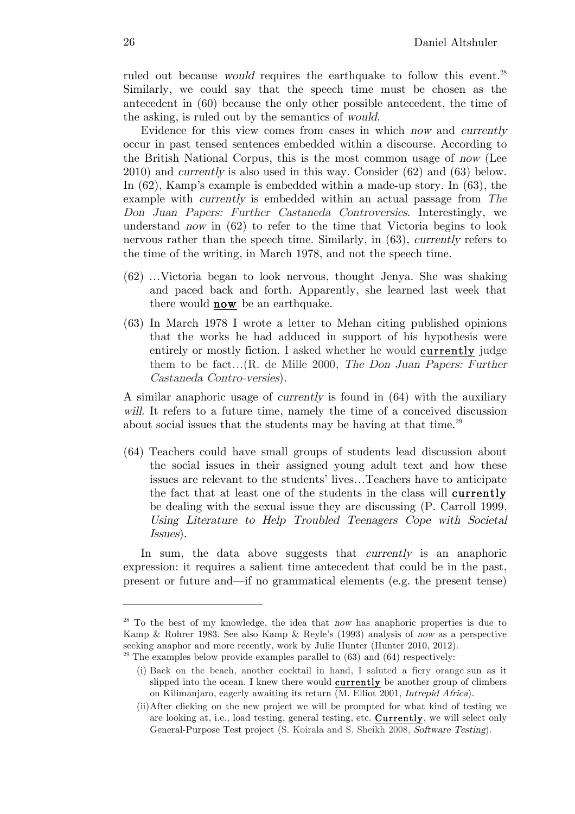ruled out because *would* requires the earthquake to follow this event.<sup>28</sup> Similarly, we could say that the speech time must be chosen as the antecedent in (60) because the only other possible antecedent, the time of the asking, is ruled out by the semantics of would.

Evidence for this view comes from cases in which now and currently occur in past tensed sentences embedded within a discourse. According to the British National Corpus, this is the most common usage of now (Lee 2010) and currently is also used in this way. Consider (62) and (63) below. In (62), Kamp's example is embedded within a made-up story. In (63), the example with currently is embedded within an actual passage from The Don Juan Papers: Further Castaneda Controversies. Interestingly, we understand now in (62) to refer to the time that Victoria begins to look nervous rather than the speech time. Similarly, in (63), currently refers to the time of the writing, in March 1978, and not the speech time.

- (62) …Victoria began to look nervous, thought Jenya. She was shaking and paced back and forth. Apparently, she learned last week that there would **now** be an earthquake.
- (63) In March 1978 I wrote a letter to Mehan citing published opinions that the works he had adduced in support of his hypothesis were entirely or mostly fiction. I asked whether he would currently judge them to be fact…(R. de Mille 2000, The Don Juan Papers: Further Castaneda Contro-versies).

A similar anaphoric usage of currently is found in (64) with the auxiliary will. It refers to a future time, namely the time of a conceived discussion about social issues that the students may be having at that time.<sup>29</sup>

(64) Teachers could have small groups of students lead discussion about the social issues in their assigned young adult text and how these issues are relevant to the students' lives…Teachers have to anticipate the fact that at least one of the students in the class will currently be dealing with the sexual issue they are discussing (P. Carroll 1999, Using Literature to Help Troubled Teenagers Cope with Societal Issues).

In sum, the data above suggests that *currently* is an anaphoric expression: it requires a salient time antecedent that could be in the past, present or future and—if no grammatical elements (e.g. the present tense)

 $28$  To the best of my knowledge, the idea that now has anaphoric properties is due to Kamp & Rohrer 1983. See also Kamp & Reyle's (1993) analysis of now as a perspective seeking anaphor and more recently, work by Julie Hunter (Hunter 2010, 2012).  $29$  The examples below provide examples parallel to  $(63)$  and  $(64)$  respectively:

<sup>(</sup>i) Back on the beach, another cocktail in hand, I saluted a fiery orange sun as it slipped into the ocean. I knew there would **currently** be another group of climbers on Kilimanjaro, eagerly awaiting its return (M. Elliot 2001, Intrepid Africa).

<sup>(</sup>ii)After clicking on the new project we will be prompted for what kind of testing we are looking at, i.e., load testing, general testing, etc. Currently, we will select only General-Purpose Test project (S. Koirala and S. Sheikh 2008, Software Testing).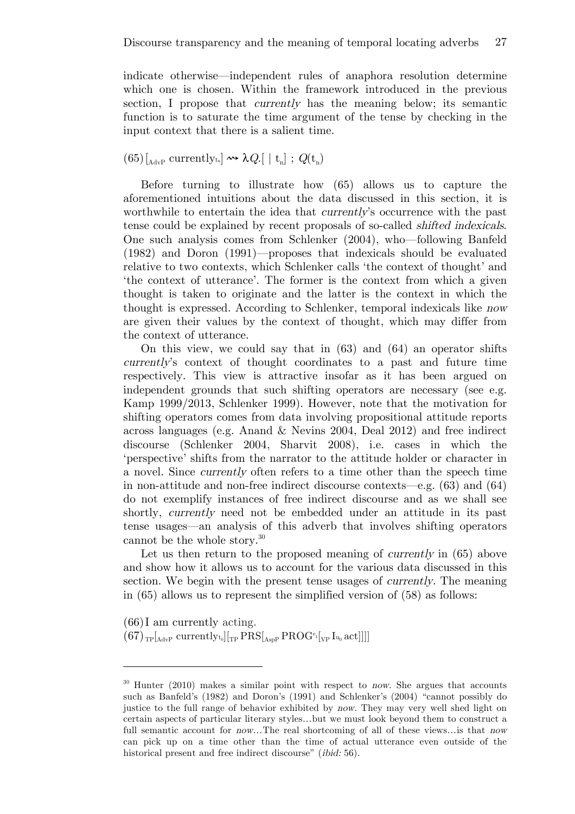indicate otherwise—independent rules of anaphora resolution determine which one is chosen. Within the framework introduced in the previous section, I propose that currently has the meaning below; its semantic function is to saturate the time argument of the tense by checking in the input context that there is a salient time.

 $(65)$ [<sub>AdvP</sub> currently<sub>t<sub>n</sub>]</sub>  $\rightsquigarrow \lambda Q$ .[ | t<sub>n</sub>];  $Q(t_n)$ 

Before turning to illustrate how (65) allows us to capture the aforementioned intuitions about the data discussed in this section, it is worthwhile to entertain the idea that *currently's* occurrence with the past tense could be explained by recent proposals of so-called shifted indexicals. One such analysis comes from Schlenker (2004), who—following Banfeld (1982) and Doron (1991)—proposes that indexicals should be evaluated relative to two contexts, which Schlenker calls 'the context of thought' and 'the context of utterance'. The former is the context from which a given thought is taken to originate and the latter is the context in which the thought is expressed. According to Schlenker, temporal indexicals like now are given their values by the context of thought, which may differ from the context of utterance.

On this view, we could say that in (63) and (64) an operator shifts currently's context of thought coordinates to a past and future time respectively. This view is attractive insofar as it has been argued on independent grounds that such shifting operators are necessary (see e.g. Kamp 1999/2013, Schlenker 1999). However, note that the motivation for shifting operators comes from data involving propositional attitude reports across languages (e.g. Anand & Nevins 2004, Deal 2012) and free indirect discourse (Schlenker 2004, Sharvit 2008), i.e. cases in which the 'perspective' shifts from the narrator to the attitude holder or character in a novel. Since currently often refers to a time other than the speech time in non-attitude and non-free indirect discourse contexts—e.g. (63) and (64) do not exemplify instances of free indirect discourse and as we shall see shortly, currently need not be embedded under an attitude in its past tense usages—an analysis of this adverb that involves shifting operators cannot be the whole story.<sup>30</sup>

Let us then return to the proposed meaning of *currently* in (65) above and show how it allows us to account for the various data discussed in this section. We begin with the present tense usages of currently. The meaning in (65) allows us to represent the simplified version of (58) as follows:

(66)I am currently acting.

 $\overline{a}$ 

 $(67)$ <sub>TP</sub>[<sub>AdvP</sub> currently<sub>t<sub>0</sub>][<sub>TP</sub> PRS[<sub>AspP</sub> PROG<sup>e</sup><sub>1</sub>[<sub>VP</sub> I<sub>u<sub>0</sub></sub> act]]]]</sub>

 $30$  Hunter (2010) makes a similar point with respect to now. She argues that accounts such as Banfeld's (1982) and Doron's (1991) and Schlenker's (2004) "cannot possibly do justice to the full range of behavior exhibited by now. They may very well shed light on certain aspects of particular literary styles…but we must look beyond them to construct a full semantic account for *now*...The real shortcoming of all of these views... is that *now* can pick up on a time other than the time of actual utterance even outside of the historical present and free indirect discourse" *(ibid:* 56).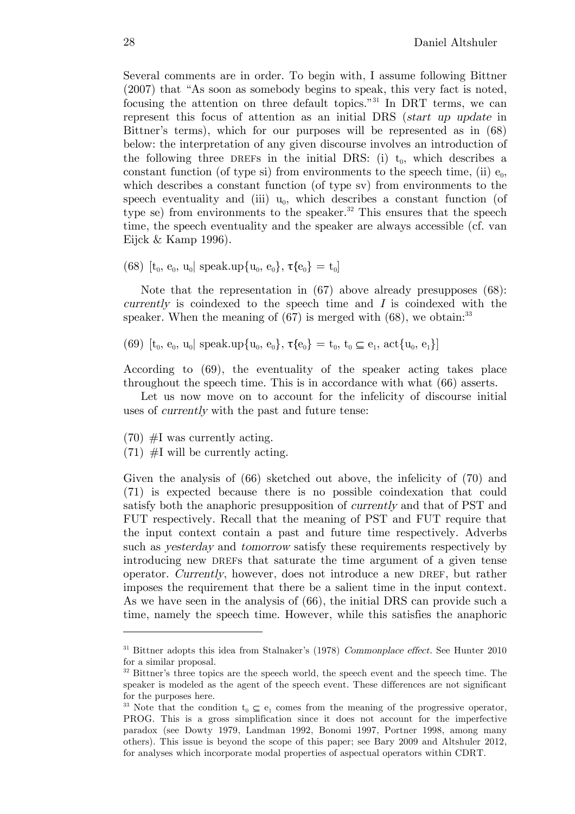Several comments are in order. To begin with, I assume following Bittner (2007) that "As soon as somebody begins to speak, this very fact is noted, focusing the attention on three default topics."31 In DRT terms, we can represent this focus of attention as an initial DRS (start up update in Bittner's terms), which for our purposes will be represented as in (68) below: the interpretation of any given discourse involves an introduction of the following three DREFs in the initial DRS: (i)  $t_0$ , which describes a constant function (of type si) from environments to the speech time, (ii)  $e_0$ , which describes a constant function (of type sv) from environments to the speech eventuality and (iii)  $u_0$ , which describes a constant function (of type se) from environments to the speaker.<sup>32</sup> This ensures that the speech time, the speech eventuality and the speaker are always accessible (cf. van Eijck & Kamp 1996).

(68)  $[t_0, e_0, u_0]$  speak.up $\{u_0, e_0\}$ ,  $\tau\{e_0\} = t_0$ ]

Note that the representation in (67) above already presupposes (68):  $currently$  is coindexed to the speech time and I is coindexed with the speaker. When the meaning of  $(67)$  is merged with  $(68)$ , we obtain:<sup>33</sup>

(69)  $[t_0, e_0, u_0]$  speak.up $\{u_0, e_0\}$ ,  $\tau\{e_0\} = t_0, t_0 \subseteq e_1$ ,  $\{\tau_0, e_1\}$ 

According to (69), the eventuality of the speaker acting takes place throughout the speech time. This is in accordance with what (66) asserts.

Let us now move on to account for the infelicity of discourse initial uses of currently with the past and future tense:

 $(70)$  #I was currently acting.

 $\overline{a}$ 

 $(71)$  #I will be currently acting.

Given the analysis of (66) sketched out above, the infelicity of (70) and (71) is expected because there is no possible coindexation that could satisfy both the anaphoric presupposition of currently and that of PST and FUT respectively. Recall that the meaning of PST and FUT require that the input context contain a past and future time respectively. Adverbs such as yesterday and tomorrow satisfy these requirements respectively by introducing new DREFs that saturate the time argument of a given tense operator. Currently, however, does not introduce a new DREF, but rather imposes the requirement that there be a salient time in the input context. As we have seen in the analysis of (66), the initial DRS can provide such a time, namely the speech time. However, while this satisfies the anaphoric

<sup>&</sup>lt;sup>31</sup> Bittner adopts this idea from Stalnaker's (1978) Commonplace effect. See Hunter 2010 for a similar proposal.

<sup>&</sup>lt;sup>32</sup> Bittner's three topics are the speech world, the speech event and the speech time. The speaker is modeled as the agent of the speech event. These differences are not significant for the purposes here.

<sup>&</sup>lt;sup>33</sup> Note that the condition  $t_0 \text{ }\subset e_1$  comes from the meaning of the progressive operator, PROG. This is a gross simplification since it does not account for the imperfective paradox (see Dowty 1979, Landman 1992, Bonomi 1997, Portner 1998, among many others). This issue is beyond the scope of this paper; see Bary 2009 and Altshuler 2012, for analyses which incorporate modal properties of aspectual operators within CDRT.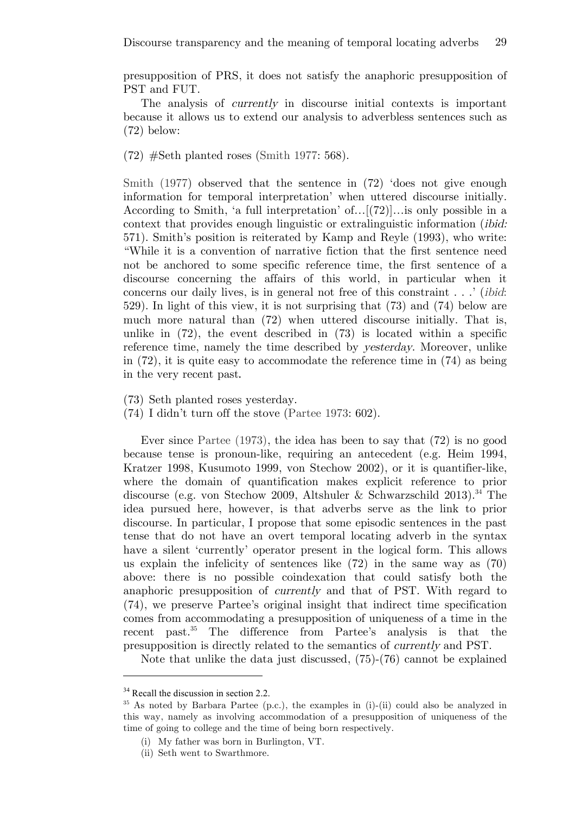presupposition of PRS, it does not satisfy the anaphoric presupposition of PST and FUT.

The analysis of currently in discourse initial contexts is important because it allows us to extend our analysis to adverbless sentences such as (72) below:

(72) #Seth planted roses (Smith 1977: 568).

Smith (1977) observed that the sentence in (72) 'does not give enough information for temporal interpretation' when uttered discourse initially. According to Smith, 'a full interpretation' of…[(72)]…is only possible in a context that provides enough linguistic or extralinguistic information (ibid: 571). Smith's position is reiterated by Kamp and Reyle (1993), who write: "While it is a convention of narrative fiction that the first sentence need not be anchored to some specific reference time, the first sentence of a discourse concerning the affairs of this world, in particular when it concerns our daily lives, is in general not free of this constraint . . .' (ibid: 529). In light of this view, it is not surprising that (73) and (74) below are much more natural than (72) when uttered discourse initially. That is, unlike in  $(72)$ , the event described in  $(73)$  is located within a specific reference time, namely the time described by yesterday. Moreover, unlike in (72), it is quite easy to accommodate the reference time in (74) as being in the very recent past.

(73) Seth planted roses yesterday.

(74) I didn't turn off the stove (Partee 1973: 602).

Ever since Partee (1973), the idea has been to say that (72) is no good because tense is pronoun-like, requiring an antecedent (e.g. Heim 1994, Kratzer 1998, Kusumoto 1999, von Stechow 2002), or it is quantifier-like, where the domain of quantification makes explicit reference to prior discourse (e.g. von Stechow 2009, Altshuler & Schwarzschild 2013). <sup>34</sup> The idea pursued here, however, is that adverbs serve as the link to prior discourse. In particular, I propose that some episodic sentences in the past tense that do not have an overt temporal locating adverb in the syntax have a silent 'currently' operator present in the logical form. This allows us explain the infelicity of sentences like (72) in the same way as (70) above: there is no possible coindexation that could satisfy both the anaphoric presupposition of currently and that of PST. With regard to (74), we preserve Partee's original insight that indirect time specification comes from accommodating a presupposition of uniqueness of a time in the recent past.<sup>35</sup> The difference from Partee's analysis is that the presupposition is directly related to the semantics of currently and PST.

Note that unlike the data just discussed, (75)-(76) cannot be explained

 $34$  Recall the discussion in section 2.2.

<sup>&</sup>lt;sup>35</sup> As noted by Barbara Partee (p.c.), the examples in (i)-(ii) could also be analyzed in this way, namely as involving accommodation of a presupposition of uniqueness of the time of going to college and the time of being born respectively.

<sup>(</sup>i) My father was born in Burlington, VT.

<sup>(</sup>ii) Seth went to Swarthmore.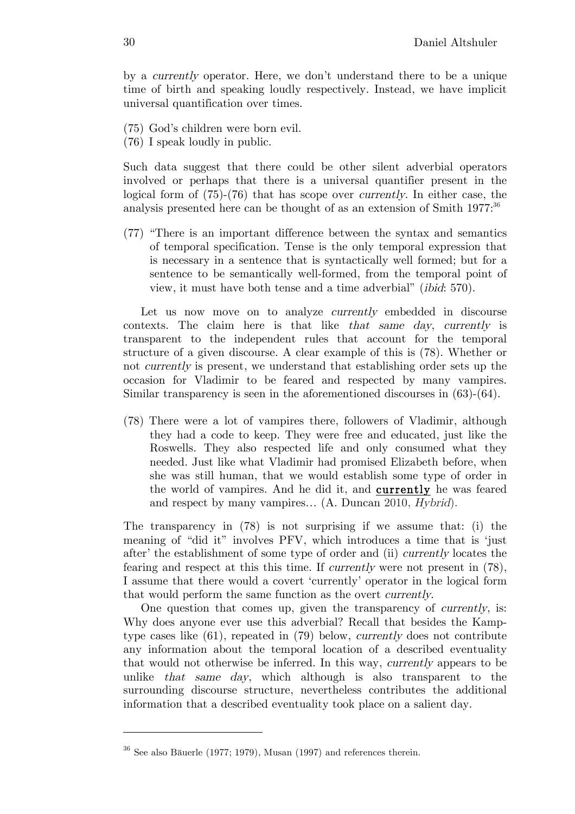by a currently operator. Here, we don't understand there to be a unique time of birth and speaking loudly respectively. Instead, we have implicit universal quantification over times.

- (75) God's children were born evil.
- (76) I speak loudly in public.

Such data suggest that there could be other silent adverbial operators involved or perhaps that there is a universal quantifier present in the logical form of (75)-(76) that has scope over currently. In either case, the analysis presented here can be thought of as an extension of Smith 1977:<sup>36</sup>

(77) "There is an important difference between the syntax and semantics of temporal specification. Tense is the only temporal expression that is necessary in a sentence that is syntactically well formed; but for a sentence to be semantically well-formed, from the temporal point of view, it must have both tense and a time adverbial" (ibid: 570).

Let us now move on to analyze *currently* embedded in discourse contexts. The claim here is that like that same day, currently is transparent to the independent rules that account for the temporal structure of a given discourse. A clear example of this is (78). Whether or not currently is present, we understand that establishing order sets up the occasion for Vladimir to be feared and respected by many vampires. Similar transparency is seen in the aforementioned discourses in (63)-(64).

(78) There were a lot of vampires there, followers of Vladimir, although they had a code to keep. They were free and educated, just like the Roswells. They also respected life and only consumed what they needed. Just like what Vladimir had promised Elizabeth before, when she was still human, that we would establish some type of order in the world of vampires. And he did it, and currently he was feared and respect by many vampires… (A. Duncan 2010, Hybrid).

The transparency in (78) is not surprising if we assume that: (i) the meaning of "did it" involves PFV, which introduces a time that is 'just after' the establishment of some type of order and (ii) currently locates the fearing and respect at this this time. If *currently* were not present in (78), I assume that there would a covert 'currently' operator in the logical form that would perform the same function as the overt currently.

One question that comes up, given the transparency of currently, is: Why does anyone ever use this adverbial? Recall that besides the Kamptype cases like (61), repeated in (79) below, currently does not contribute any information about the temporal location of a described eventuality that would not otherwise be inferred. In this way, currently appears to be unlike that same day, which although is also transparent to the surrounding discourse structure, nevertheless contributes the additional information that a described eventuality took place on a salient day.

 $36$  See also Bäuerle (1977; 1979), Musan (1997) and references therein.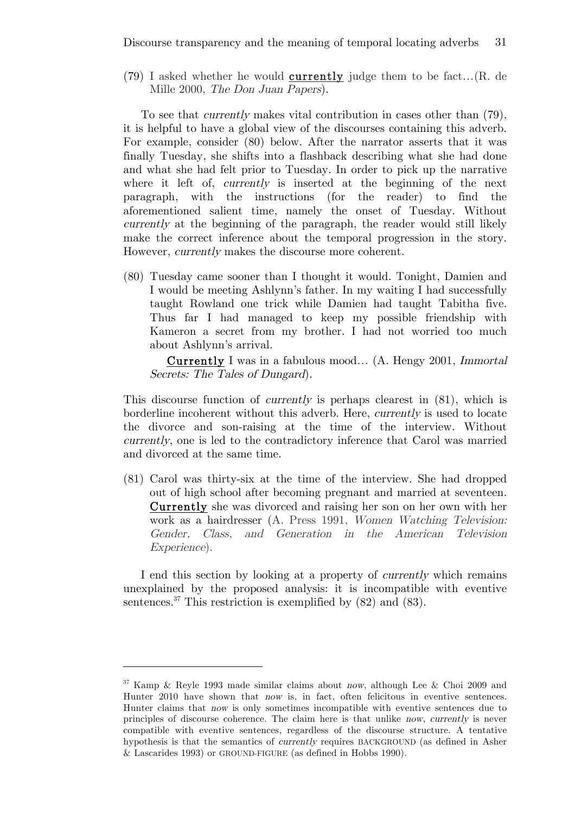$(79)$  I asked whether he would **currently** judge them to be fact... $(R. de)$ Mille 2000, The Don Juan Papers).

To see that currently makes vital contribution in cases other than (79), it is helpful to have a global view of the discourses containing this adverb. For example, consider (80) below. After the narrator asserts that it was finally Tuesday, she shifts into a flashback describing what she had done and what she had felt prior to Tuesday. In order to pick up the narrative where it left of, *currently* is inserted at the beginning of the next paragraph, with the instructions (for the reader) to find the aforementioned salient time, namely the onset of Tuesday. Without currently at the beginning of the paragraph, the reader would still likely make the correct inference about the temporal progression in the story. However, currently makes the discourse more coherent.

(80) Tuesday came sooner than I thought it would. Tonight, Damien and I would be meeting Ashlynn's father. In my waiting I had successfully taught Rowland one trick while Damien had taught Tabitha five. Thus far I had managed to keep my possible friendship with Kameron a secret from my brother. I had not worried too much about Ashlynn's arrival.

 Currently I was in a fabulous mood… (A. Hengy 2001, Immortal Secrets: The Tales of Dungard).

This discourse function of currently is perhaps clearest in (81), which is borderline incoherent without this adverb. Here, currently is used to locate the divorce and son-raising at the time of the interview. Without currently, one is led to the contradictory inference that Carol was married and divorced at the same time.

(81) Carol was thirty-six at the time of the interview. She had dropped out of high school after becoming pregnant and married at seventeen. Currently she was divorced and raising her son on her own with her work as a hairdresser (A. Press 1991, Women Watching Television: Gender, Class, and Generation in the American Television Experience).

I end this section by looking at a property of currently which remains unexplained by the proposed analysis: it is incompatible with eventive sentences.<sup>37</sup> This restriction is exemplified by  $(82)$  and  $(83)$ .

<sup>37</sup> Kamp & Reyle 1993 made similar claims about now, although Lee & Choi 2009 and Hunter 2010 have shown that now is, in fact, often felicitous in eventive sentences. Hunter claims that now is only sometimes incompatible with eventive sentences due to principles of discourse coherence. The claim here is that unlike now, currently is never compatible with eventive sentences, regardless of the discourse structure. A tentative hypothesis is that the semantics of currently requires BACKGROUND (as defined in Asher & Lascarides 1993) or GROUND-FIGURE (as defined in Hobbs 1990).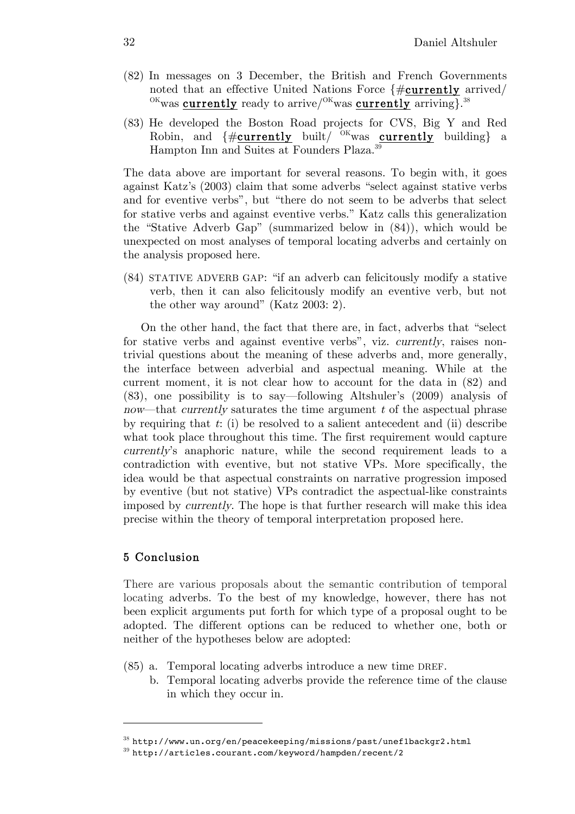- (82) In messages on 3 December, the British and French Governments noted that an effective United Nations Force {#currently arrived/  $\frac{\text{OK}}{\text{W}}$ was currently ready to arrive/ $\frac{\text{OK}}{\text{W}}$ was currently arriving.<sup>38</sup>
- (83) He developed the Boston Road projects for CVS, Big Y and Red Robin, and  $\{\#\text{currently}$  built/ <sup>OK</sup>was currently building} a Hampton Inn and Suites at Founders Plaza.39

The data above are important for several reasons. To begin with, it goes against Katz's (2003) claim that some adverbs "select against stative verbs and for eventive verbs", but "there do not seem to be adverbs that select for stative verbs and against eventive verbs." Katz calls this generalization the "Stative Adverb Gap" (summarized below in (84)), which would be unexpected on most analyses of temporal locating adverbs and certainly on the analysis proposed here.

(84) STATIVE ADVERB GAP: "if an adverb can felicitously modify a stative verb, then it can also felicitously modify an eventive verb, but not the other way around" (Katz 2003: 2).

On the other hand, the fact that there are, in fact, adverbs that "select for stative verbs and against eventive verbs", viz. currently, raises nontrivial questions about the meaning of these adverbs and, more generally, the interface between adverbial and aspectual meaning. While at the current moment, it is not clear how to account for the data in (82) and (83), one possibility is to say—following Altshuler's (2009) analysis of now—that *currently* saturates the time argument  $t$  of the aspectual phrase by requiring that  $t: (i)$  be resolved to a salient antecedent and  $(ii)$  describe what took place throughout this time. The first requirement would capture currently's anaphoric nature, while the second requirement leads to a contradiction with eventive, but not stative VPs. More specifically, the idea would be that aspectual constraints on narrative progression imposed by eventive (but not stative) VPs contradict the aspectual-like constraints imposed by currently. The hope is that further research will make this idea precise within the theory of temporal interpretation proposed here.

# 5 Conclusion

 $\overline{a}$ 

There are various proposals about the semantic contribution of temporal locating adverbs. To the best of my knowledge, however, there has not been explicit arguments put forth for which type of a proposal ought to be adopted. The different options can be reduced to whether one, both or neither of the hypotheses below are adopted:

- (85) a. Temporal locating adverbs introduce a new time DREF.
	- b. Temporal locating adverbs provide the reference time of the clause in which they occur in.

 $38$  http://www.un.org/en/peacekeeping/missions/past/unef1backgr2.html

<sup>39</sup> http://articles.courant.com/keyword/hampden/recent/2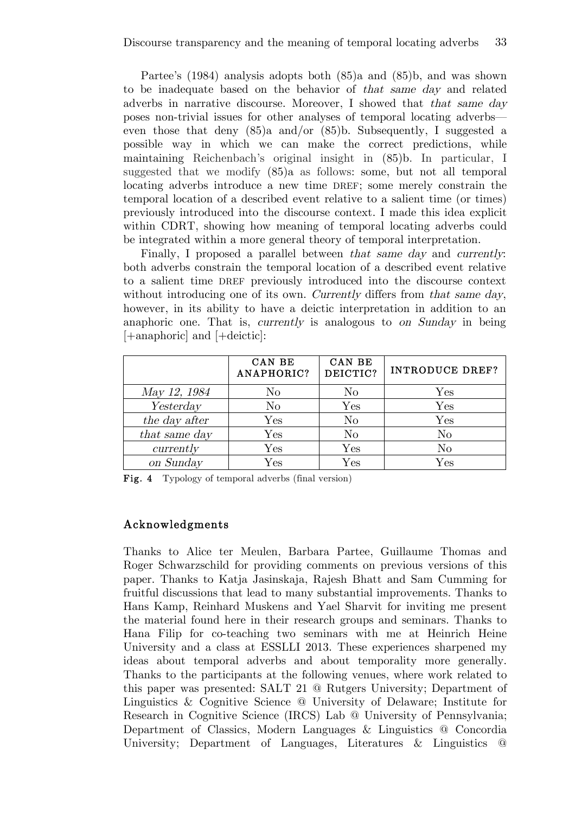Partee's (1984) analysis adopts both (85)a and (85)b, and was shown to be inadequate based on the behavior of that same day and related adverbs in narrative discourse. Moreover, I showed that that same day poses non-trivial issues for other analyses of temporal locating adverbs even those that deny (85)a and/or (85)b. Subsequently, I suggested a possible way in which we can make the correct predictions, while maintaining Reichenbach's original insight in (85)b. In particular, I suggested that we modify (85)a as follows: some, but not all temporal locating adverbs introduce a new time DREF; some merely constrain the temporal location of a described event relative to a salient time (or times) previously introduced into the discourse context. I made this idea explicit within CDRT, showing how meaning of temporal locating adverbs could be integrated within a more general theory of temporal interpretation.

Finally, I proposed a parallel between that same day and currently: both adverbs constrain the temporal location of a described event relative to a salient time DREF previously introduced into the discourse context without introducing one of its own. Currently differs from that same day, however, in its ability to have a deictic interpretation in addition to an anaphoric one. That is, currently is analogous to on Sunday in being [+anaphoric] and [+deictic]:

|               | CAN BE<br>ANAPHORIC? | CAN BE<br>DEICTIC? | <b>INTRODUCE DREF?</b> |
|---------------|----------------------|--------------------|------------------------|
| May 12, 1984  | $\rm No$             | No                 | ${\rm Yes}$            |
| Yesterday     | $\rm No$             | $\rm Yes$          | $\rm Yes$              |
| the day after | $\rm Yes$            | N <sub>o</sub>     | Yes                    |
| that same day | $\operatorname{Yes}$ | N <sub>o</sub>     | N <sub>o</sub>         |
| currently     | $\rm Yes$            | Yes                | $\rm No$               |
| on Sunday     | $\rm Yes$            | $\rm Yes$          | $\rm Yes$              |

Fig. 4 Typology of temporal adverbs (final version)

# Acknowledgments

Thanks to Alice ter Meulen, Barbara Partee, Guillaume Thomas and Roger Schwarzschild for providing comments on previous versions of this paper. Thanks to Katja Jasinskaja, Rajesh Bhatt and Sam Cumming for fruitful discussions that lead to many substantial improvements. Thanks to Hans Kamp, Reinhard Muskens and Yael Sharvit for inviting me present the material found here in their research groups and seminars. Thanks to Hana Filip for co-teaching two seminars with me at Heinrich Heine University and a class at ESSLLI 2013. These experiences sharpened my ideas about temporal adverbs and about temporality more generally. Thanks to the participants at the following venues, where work related to this paper was presented: SALT 21 @ Rutgers University; Department of Linguistics & Cognitive Science @ University of Delaware; Institute for Research in Cognitive Science (IRCS) Lab @ University of Pennsylvania; Department of Classics, Modern Languages & Linguistics @ Concordia University; Department of Languages, Literatures & Linguistics @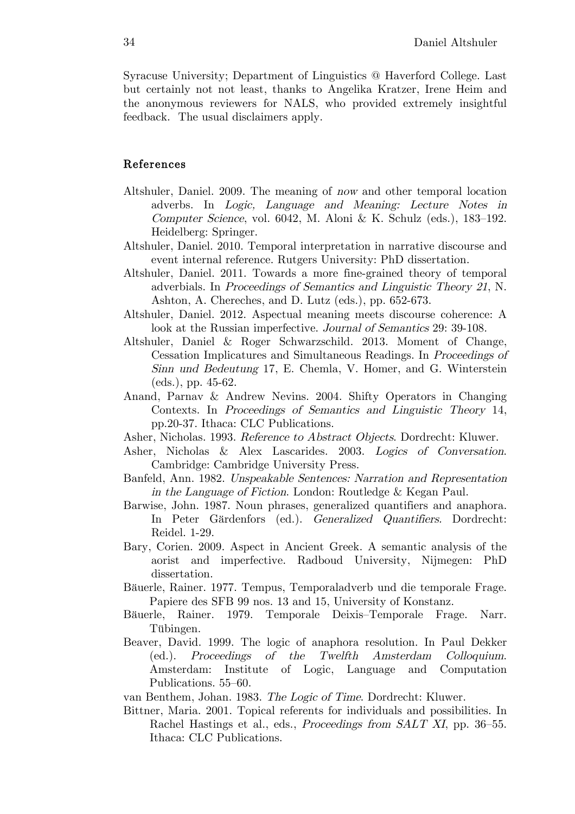Syracuse University; Department of Linguistics @ Haverford College. Last but certainly not not least, thanks to Angelika Kratzer, Irene Heim and the anonymous reviewers for NALS, who provided extremely insightful feedback. The usual disclaimers apply.

# References

- Altshuler, Daniel. 2009. The meaning of now and other temporal location adverbs. In Logic, Language and Meaning: Lecture Notes in Computer Science, vol. 6042, M. Aloni & K. Schulz (eds.), 183–192. Heidelberg: Springer.
- Altshuler, Daniel. 2010. Temporal interpretation in narrative discourse and event internal reference. Rutgers University: PhD dissertation.
- Altshuler, Daniel. 2011. Towards a more fine-grained theory of temporal adverbials. In Proceedings of Semantics and Linguistic Theory 21, N. Ashton, A. Chereches, and D. Lutz (eds.), pp. 652-673.
- Altshuler, Daniel. 2012. Aspectual meaning meets discourse coherence: A look at the Russian imperfective. Journal of Semantics 29: 39-108.
- Altshuler, Daniel & Roger Schwarzschild. 2013. Moment of Change, Cessation Implicatures and Simultaneous Readings. In Proceedings of Sinn und Bedeutung 17, E. Chemla, V. Homer, and G. Winterstein (eds.), pp. 45-62.
- Anand, Parnav & Andrew Nevins. 2004. Shifty Operators in Changing Contexts. In Proceedings of Semantics and Linguistic Theory 14, pp.20-37. Ithaca: CLC Publications.
- Asher, Nicholas. 1993. Reference to Abstract Objects. Dordrecht: Kluwer.
- Asher, Nicholas & Alex Lascarides. 2003. Logics of Conversation. Cambridge: Cambridge University Press.
- Banfeld, Ann. 1982. Unspeakable Sentences: Narration and Representation in the Language of Fiction. London: Routledge & Kegan Paul.
- Barwise, John. 1987. Noun phrases, generalized quantifiers and anaphora. In Peter Gärdenfors (ed.). Generalized Quantifiers. Dordrecht: Reidel. 1-29.
- Bary, Corien. 2009. Aspect in Ancient Greek. A semantic analysis of the aorist and imperfective. Radboud University, Nijmegen: PhD dissertation.
- Bäuerle, Rainer. 1977. Tempus, Temporaladverb und die temporale Frage. Papiere des SFB 99 nos. 13 and 15, University of Konstanz.
- Bäuerle, Rainer. 1979. Temporale Deixis–Temporale Frage. Narr. Tübingen.
- Beaver, David. 1999. The logic of anaphora resolution. In Paul Dekker (ed.). Proceedings of the Twelfth Amsterdam Colloquium. Amsterdam: Institute of Logic, Language and Computation Publications. 55–60.
- van Benthem, Johan. 1983. The Logic of Time. Dordrecht: Kluwer.
- Bittner, Maria. 2001. Topical referents for individuals and possibilities. In Rachel Hastings et al., eds., Proceedings from SALT XI, pp. 36–55. Ithaca: CLC Publications.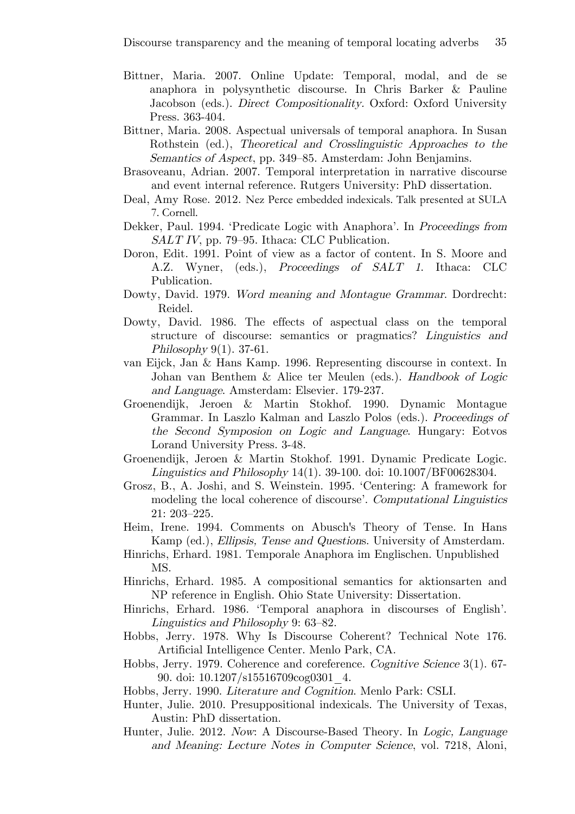- Bittner, Maria. 2007. Online Update: Temporal, modal, and de se anaphora in polysynthetic discourse. In Chris Barker & Pauline Jacobson (eds.). *Direct Compositionality*. Oxford: Oxford University Press. 363-404.
- Bittner, Maria. 2008. Aspectual universals of temporal anaphora. In Susan Rothstein (ed.), Theoretical and Crosslinguistic Approaches to the Semantics of Aspect, pp. 349–85. Amsterdam: John Benjamins.
- Brasoveanu, Adrian. 2007. Temporal interpretation in narrative discourse and event internal reference. Rutgers University: PhD dissertation.
- Deal, Amy Rose. 2012. Nez Perce embedded indexicals. Talk presented at SULA 7. Cornell.
- Dekker, Paul. 1994. 'Predicate Logic with Anaphora'. In Proceedings from SALT IV, pp. 79–95. Ithaca: CLC Publication.
- Doron, Edit. 1991. Point of view as a factor of content. In S. Moore and A.Z. Wyner, (eds.), Proceedings of SALT 1. Ithaca: CLC Publication.
- Dowty, David. 1979. Word meaning and Montague Grammar. Dordrecht: Reidel.
- Dowty, David. 1986. The effects of aspectual class on the temporal structure of discourse: semantics or pragmatics? Linguistics and Philosophy  $9(1)$ . 37-61.
- van Eijck, Jan & Hans Kamp. 1996. Representing discourse in context. In Johan van Benthem & Alice ter Meulen (eds.). Handbook of Logic and Language. Amsterdam: Elsevier. 179-237.
- Groenendijk, Jeroen & Martin Stokhof. 1990. Dynamic Montague Grammar. In Laszlo Kalman and Laszlo Polos (eds.). Proceedings of the Second Symposion on Logic and Language. Hungary: Eotvos Lorand University Press. 3-48.
- Groenendijk, Jeroen & Martin Stokhof. 1991. Dynamic Predicate Logic. Linguistics and Philosophy 14(1). 39-100. doi: 10.1007/BF00628304.
- Grosz, B., A. Joshi, and S. Weinstein. 1995. 'Centering: A framework for modeling the local coherence of discourse'. Computational Linguistics 21: 203–225.
- Heim, Irene. 1994. Comments on Abusch's Theory of Tense. In Hans Kamp (ed.), Ellipsis, Tense and Questions. University of Amsterdam.
- Hinrichs, Erhard. 1981. Temporale Anaphora im Englischen. Unpublished MS.
- Hinrichs, Erhard. 1985. A compositional semantics for aktionsarten and NP reference in English. Ohio State University: Dissertation.
- Hinrichs, Erhard. 1986. 'Temporal anaphora in discourses of English'. Linguistics and Philosophy 9: 63–82.
- Hobbs, Jerry. 1978. Why Is Discourse Coherent? Technical Note 176. Artificial Intelligence Center. Menlo Park, CA.
- Hobbs, Jerry. 1979. Coherence and coreference. Cognitive Science 3(1). 67- 90. doi: 10.1207/s15516709cog0301\_4.
- Hobbs, Jerry. 1990. Literature and Cognition. Menlo Park: CSLI.
- Hunter, Julie. 2010. Presuppositional indexicals. The University of Texas, Austin: PhD dissertation.
- Hunter, Julie. 2012. Now: A Discourse-Based Theory. In Logic, Language and Meaning: Lecture Notes in Computer Science, vol. 7218, Aloni,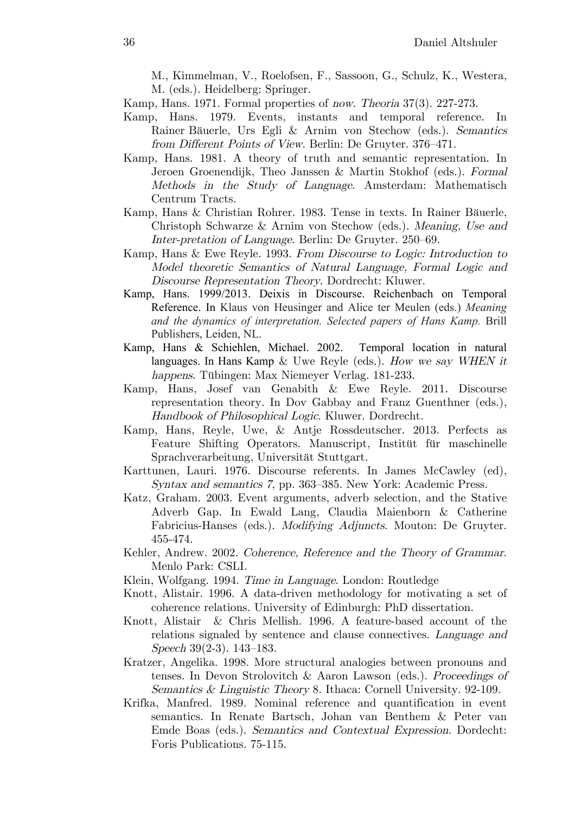M., Kimmelman, V., Roelofsen, F., Sassoon, G., Schulz, K., Westera, M. (eds.). Heidelberg: Springer.

- Kamp, Hans. 1971. Formal properties of now. Theoria 37(3). 227-273.
- Kamp, Hans. 1979. Events, instants and temporal reference. In Rainer Bäuerle, Urs Egli & Arnim von Stechow (eds.). Semantics from Different Points of View. Berlin: De Gruyter. 376–471.
- Kamp, Hans. 1981. A theory of truth and semantic representation. In Jeroen Groenendijk, Theo Janssen & Martin Stokhof (eds.). Formal Methods in the Study of Language. Amsterdam: Mathematisch Centrum Tracts.
- Kamp, Hans & Christian Rohrer. 1983. Tense in texts. In Rainer Bäuerle, Christoph Schwarze & Arnim von Stechow (eds.). Meaning, Use and Inter-pretation of Language. Berlin: De Gruyter. 250–69.
- Kamp, Hans & Ewe Reyle. 1993. From Discourse to Logic: Introduction to Model theoretic Semantics of Natural Language, Formal Logic and Discourse Representation Theory. Dordrecht: Kluwer.
- Kamp, Hans. 1999/2013. Deixis in Discourse. Reichenbach on Temporal Reference. In Klaus von Heusinger and Alice ter Meulen (eds.) *Meaning and the dynamics of interpretation. Selected papers of Hans Kamp.* Brill Publishers, Leiden, NL.
- Kamp, Hans & Schiehlen, Michael. 2002. Temporal location in natural languages. In Hans Kamp & Uwe Reyle (eds.). How we say WHEN it happens. Tübingen: Max Niemeyer Verlag. 181-233.
- Kamp, Hans, Josef van Genabith & Ewe Reyle. 2011. Discourse representation theory. In Dov Gabbay and Franz Guenthner (eds.), Handbook of Philosophical Logic. Kluwer. Dordrecht.
- Kamp, Hans, Reyle, Uwe, & Antje Rossdeutscher. 2013. Perfects as Feature Shifting Operators. Manuscript, Institüt für maschinelle Sprachverarbeitung, Universität Stuttgart.
- Karttunen, Lauri. 1976. Discourse referents. In James McCawley (ed), Syntax and semantics 7, pp. 363–385. New York: Academic Press.
- Katz, Graham. 2003. Event arguments, adverb selection, and the Stative Adverb Gap. In Ewald Lang, Claudia Maienborn & Catherine Fabricius-Hanses (eds.). Modifying Adjuncts. Mouton: De Gruyter. 455-474.
- Kehler, Andrew. 2002. Coherence, Reference and the Theory of Grammar. Menlo Park: CSLI.
- Klein, Wolfgang. 1994. Time in Language. London: Routledge
- Knott, Alistair. 1996. A data-driven methodology for motivating a set of coherence relations. University of Edinburgh: PhD dissertation.
- Knott, Alistair & Chris Mellish. 1996. A feature-based account of the relations signaled by sentence and clause connectives. Language and Speech 39(2-3). 143–183.
- Kratzer, Angelika. 1998. More structural analogies between pronouns and tenses. In Devon Strolovitch & Aaron Lawson (eds.). Proceedings of Semantics & Linguistic Theory 8. Ithaca: Cornell University. 92-109.
- Krifka, Manfred. 1989. Nominal reference and quantification in event semantics. In Renate Bartsch, Johan van Benthem & Peter van Emde Boas (eds.). Semantics and Contextual Expression. Dordecht: Foris Publications. 75-115.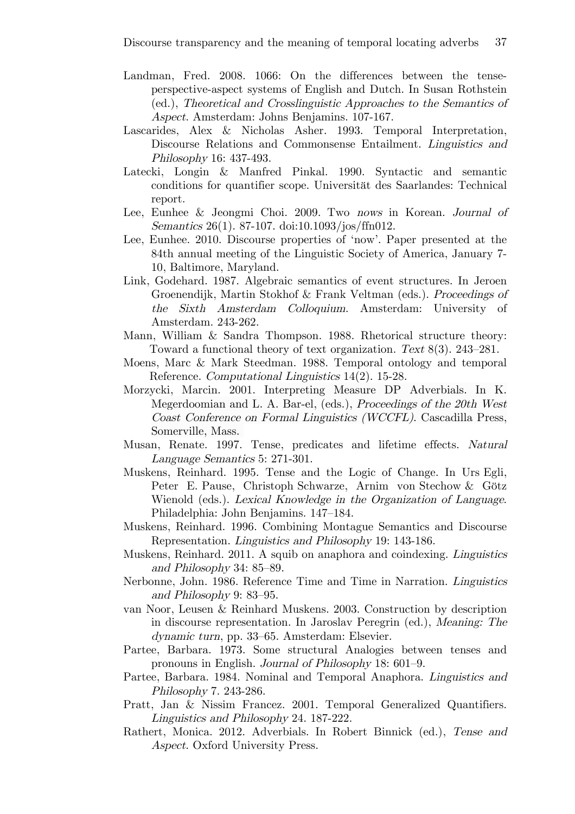- Landman, Fred. 2008. 1066: On the differences between the tenseperspective-aspect systems of English and Dutch. In Susan Rothstein (ed.), Theoretical and Crosslinguistic Approaches to the Semantics of Aspect. Amsterdam: Johns Benjamins. 107-167.
- Lascarides, Alex & Nicholas Asher. 1993. Temporal Interpretation, Discourse Relations and Commonsense Entailment. Linguistics and Philosophy 16: 437-493.
- Latecki, Longin & Manfred Pinkal. 1990. Syntactic and semantic conditions for quantifier scope. Universität des Saarlandes: Technical report.
- Lee, Eunhee & Jeongmi Choi. 2009. Two nows in Korean. Journal of Semantics 26(1). 87-107. doi:10.1093/jos/ffn012.
- Lee, Eunhee. 2010. Discourse properties of 'now'. Paper presented at the 84th annual meeting of the Linguistic Society of America, January 7- 10, Baltimore, Maryland.
- Link, Godehard. 1987. Algebraic semantics of event structures. In Jeroen Groenendijk, Martin Stokhof & Frank Veltman (eds.). Proceedings of the Sixth Amsterdam Colloquium. Amsterdam: University of Amsterdam. 243-262.
- Mann, William & Sandra Thompson. 1988. Rhetorical structure theory: Toward a functional theory of text organization. Text 8(3). 243–281.
- Moens, Marc & Mark Steedman. 1988. Temporal ontology and temporal Reference. Computational Linguistics 14(2). 15-28.
- Morzycki, Marcin. 2001. Interpreting Measure DP Adverbials. In K. Megerdoomian and L. A. Bar-el, (eds.), Proceedings of the 20th West Coast Conference on Formal Linguistics (WCCFL). Cascadilla Press, Somerville, Mass.
- Musan, Renate. 1997. Tense, predicates and lifetime effects. Natural Language Semantics 5: 271-301.
- Muskens, Reinhard. 1995. Tense and the Logic of Change. In Urs Egli, Peter E. Pause, Christoph Schwarze, Arnim von Stechow & Götz Wienold (eds.). Lexical Knowledge in the Organization of Language. Philadelphia: John Benjamins. 147–184.
- Muskens, Reinhard. 1996. Combining Montague Semantics and Discourse Representation. Linguistics and Philosophy 19: 143-186.
- Muskens, Reinhard. 2011. A squib on anaphora and coindexing. Linguistics and Philosophy 34: 85–89.
- Nerbonne, John. 1986. Reference Time and Time in Narration. Linguistics and Philosophy 9: 83–95.
- van Noor, Leusen & Reinhard Muskens. 2003. Construction by description in discourse representation. In Jaroslav Peregrin (ed.), Meaning: The dynamic turn, pp. 33–65. Amsterdam: Elsevier.
- Partee, Barbara. 1973. Some structural Analogies between tenses and pronouns in English. Journal of Philosophy 18: 601–9.
- Partee, Barbara. 1984. Nominal and Temporal Anaphora. Linguistics and Philosophy 7. 243-286.
- Pratt, Jan & Nissim Francez. 2001. Temporal Generalized Quantifiers. Linguistics and Philosophy 24. 187-222.
- Rathert, Monica. 2012. Adverbials. In Robert Binnick (ed.), Tense and Aspect. Oxford University Press.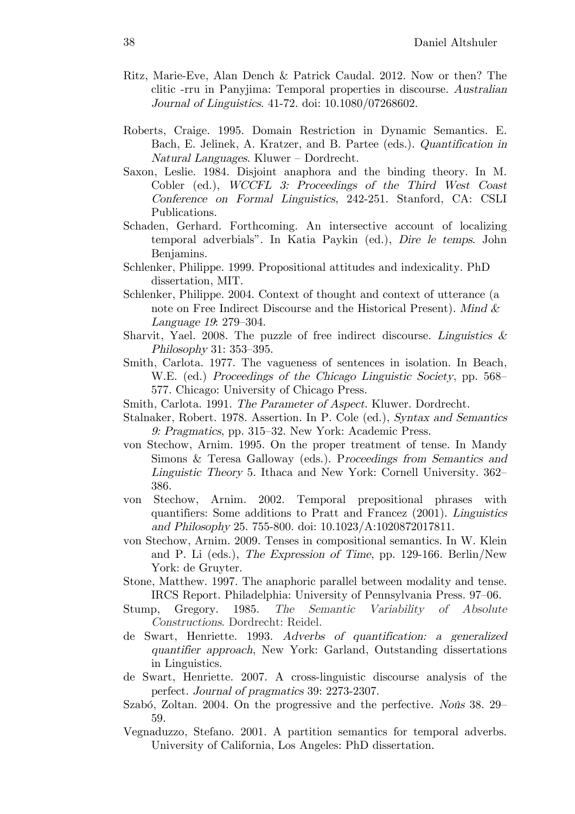- Ritz, Marie-Eve, Alan Dench & Patrick Caudal. 2012. Now or then? The clitic -rru in Panyjima: Temporal properties in discourse. Australian Journal of Linguistics. 41-72. doi: 10.1080/07268602.
- Roberts, Craige. 1995. Domain Restriction in Dynamic Semantics. E. Bach, E. Jelinek, A. Kratzer, and B. Partee (eds.). Quantification in Natural Languages. Kluwer – Dordrecht.
- Saxon, Leslie. 1984. Disjoint anaphora and the binding theory. In M. Cobler (ed.), WCCFL 3: Proceedings of the Third West Coast Conference on Formal Linguistics, 242-251. Stanford, CA: CSLI Publications.
- Schaden, Gerhard. Forthcoming. An intersective account of localizing temporal adverbials". In Katia Paykin (ed.), Dire le temps. John Benjamins.
- Schlenker, Philippe. 1999. Propositional attitudes and indexicality. PhD dissertation, MIT.
- Schlenker, Philippe. 2004. Context of thought and context of utterance (a note on Free Indirect Discourse and the Historical Present). Mind  $\&$ Language 19: 279–304.
- Sharvit, Yael. 2008. The puzzle of free indirect discourse. Linguistics  $\&$ Philosophy 31: 353–395.
- Smith, Carlota. 1977. The vagueness of sentences in isolation. In Beach, W.E. (ed.) Proceedings of the Chicago Linguistic Society, pp. 568– 577. Chicago: University of Chicago Press.
- Smith, Carlota. 1991. The Parameter of Aspect. Kluwer. Dordrecht.
- Stalnaker, Robert. 1978. Assertion. In P. Cole (ed.), Syntax and Semantics 9: Pragmatics, pp. 315–32. New York: Academic Press.
- von Stechow, Arnim. 1995. On the proper treatment of tense. In Mandy Simons & Teresa Galloway (eds.). Proceedings from Semantics and Linguistic Theory 5. Ithaca and New York: Cornell University. 362– 386.
- von Stechow, Arnim. 2002. Temporal prepositional phrases with quantifiers: Some additions to Pratt and Francez (2001). Linguistics and Philosophy 25. 755-800. doi: 10.1023/A:1020872017811.
- von Stechow, Arnim. 2009. Tenses in compositional semantics. In W. Klein and P. Li (eds.), The Expression of Time, pp. 129-166. Berlin/New York: de Gruyter.
- Stone, Matthew. 1997. The anaphoric parallel between modality and tense. IRCS Report. Philadelphia: University of Pennsylvania Press. 97–06.
- Stump, Gregory. 1985. The Semantic Variability of Absolute Constructions. Dordrecht: Reidel.
- de Swart, Henriette. 1993. Adverbs of quantification: a generalized quantifier approach, New York: Garland, Outstanding dissertations in Linguistics.
- de Swart, Henriette. 2007. A cross-linguistic discourse analysis of the perfect. Journal of pragmatics 39: 2273-2307.
- Szabó, Zoltan. 2004. On the progressive and the perfective. Noûs 38. 29– 59.
- Vegnaduzzo, Stefano. 2001. A partition semantics for temporal adverbs. University of California, Los Angeles: PhD dissertation.